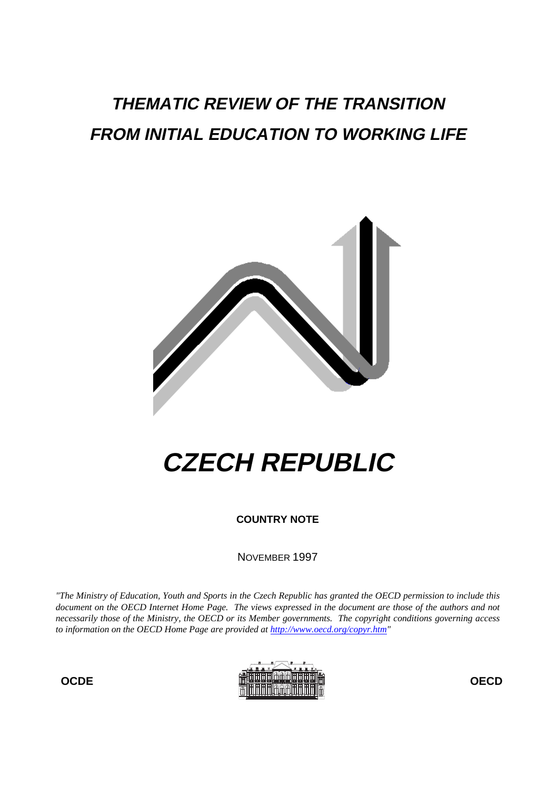# **THEMATIC REVIEW OF THE TRANSITION FROM INITIAL EDUCATION TO WORKING LIFE**



# **CZECH REPUBLIC**

**COUNTRY NOTE**

NOVEMBER 1997

*"The Ministry of Education, Youth and Sports in the Czech Republic has granted the OECD permission to include this document on the OECD Internet Home Page. The views expressed in the document are those of the authors and not necessarily those of the Ministry, the OECD or its Member governments. The copyright conditions governing access to information on the OECD Home Page are provided at http://www.oecd.org/copyr.htm"*

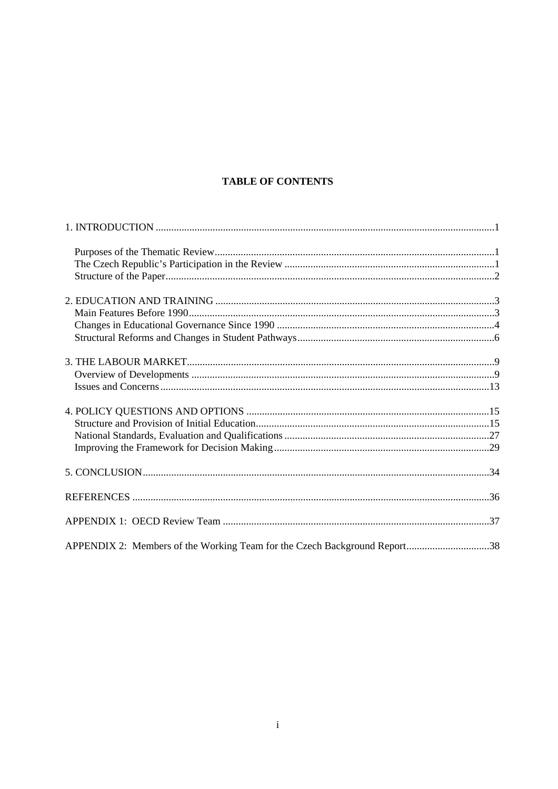# **TABLE OF CONTENTS**

| APPENDIX 2: Members of the Working Team for the Czech Background Report38 |  |
|---------------------------------------------------------------------------|--|
|                                                                           |  |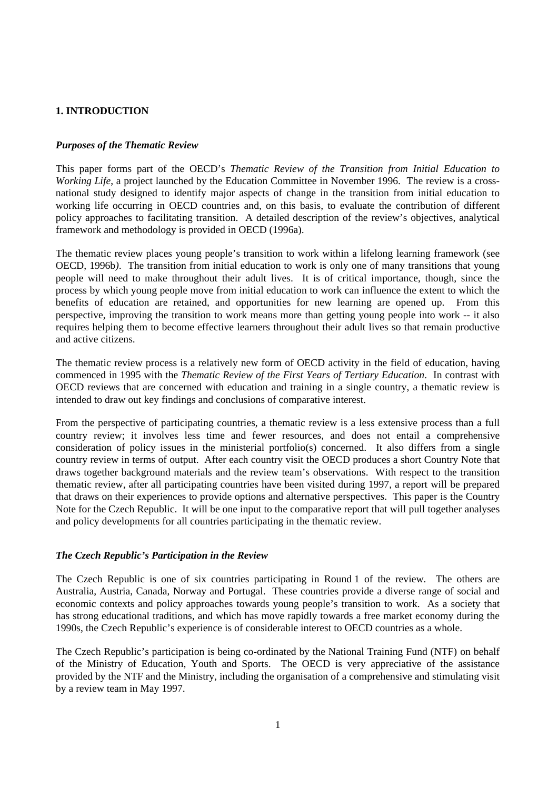# **1. INTRODUCTION**

#### *Purposes of the Thematic Review*

This paper forms part of the OECD's *Thematic Review of the Transition from Initial Education to Working Life*, a project launched by the Education Committee in November 1996. The review is a crossnational study designed to identify major aspects of change in the transition from initial education to working life occurring in OECD countries and, on this basis, to evaluate the contribution of different policy approaches to facilitating transition. A detailed description of the review's objectives, analytical framework and methodology is provided in OECD (1996a).

The thematic review places young people's transition to work within a lifelong learning framework (see OECD, 1996b*)*. The transition from initial education to work is only one of many transitions that young people will need to make throughout their adult lives. It is of critical importance, though, since the process by which young people move from initial education to work can influence the extent to which the benefits of education are retained, and opportunities for new learning are opened up. From this perspective, improving the transition to work means more than getting young people into work -- it also requires helping them to become effective learners throughout their adult lives so that remain productive and active citizens.

The thematic review process is a relatively new form of OECD activity in the field of education, having commenced in 1995 with the *Thematic Review of the First Years of Tertiary Education*. In contrast with OECD reviews that are concerned with education and training in a single country, a thematic review is intended to draw out key findings and conclusions of comparative interest.

From the perspective of participating countries, a thematic review is a less extensive process than a full country review; it involves less time and fewer resources, and does not entail a comprehensive consideration of policy issues in the ministerial portfolio(s) concerned. It also differs from a single country review in terms of output. After each country visit the OECD produces a short Country Note that draws together background materials and the review team's observations. With respect to the transition thematic review, after all participating countries have been visited during 1997, a report will be prepared that draws on their experiences to provide options and alternative perspectives. This paper is the Country Note for the Czech Republic. It will be one input to the comparative report that will pull together analyses and policy developments for all countries participating in the thematic review.

#### *The Czech Republic's Participation in the Review*

The Czech Republic is one of six countries participating in Round 1 of the review. The others are Australia, Austria, Canada, Norway and Portugal. These countries provide a diverse range of social and economic contexts and policy approaches towards young people's transition to work. As a society that has strong educational traditions, and which has move rapidly towards a free market economy during the 1990s, the Czech Republic's experience is of considerable interest to OECD countries as a whole.

The Czech Republic's participation is being co-ordinated by the National Training Fund (NTF) on behalf of the Ministry of Education, Youth and Sports. The OECD is very appreciative of the assistance provided by the NTF and the Ministry, including the organisation of a comprehensive and stimulating visit by a review team in May 1997.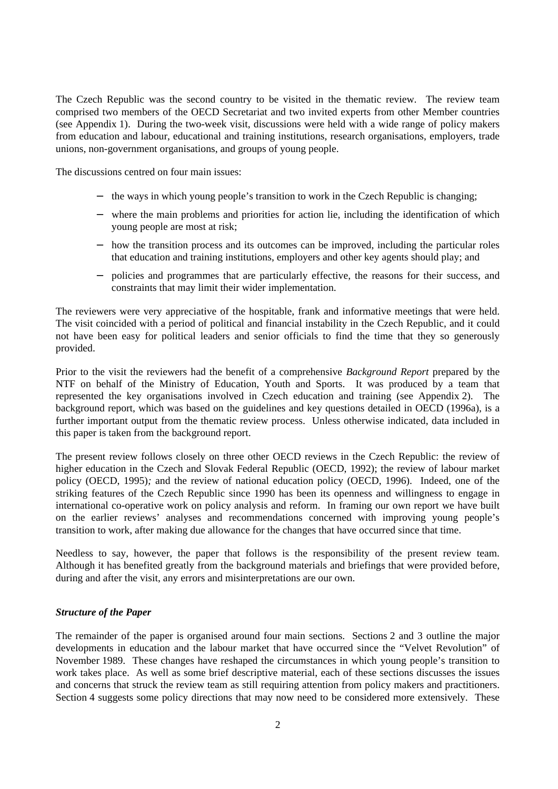The Czech Republic was the second country to be visited in the thematic review. The review team comprised two members of the OECD Secretariat and two invited experts from other Member countries (see Appendix 1). During the two-week visit, discussions were held with a wide range of policy makers from education and labour, educational and training institutions, research organisations, employers, trade unions, non-government organisations, and groups of young people.

The discussions centred on four main issues:

- the ways in which young people's transition to work in the Czech Republic is changing;
- − where the main problems and priorities for action lie, including the identification of which young people are most at risk;
- − how the transition process and its outcomes can be improved, including the particular roles that education and training institutions, employers and other key agents should play; and
- − policies and programmes that are particularly effective, the reasons for their success, and constraints that may limit their wider implementation.

The reviewers were very appreciative of the hospitable, frank and informative meetings that were held. The visit coincided with a period of political and financial instability in the Czech Republic, and it could not have been easy for political leaders and senior officials to find the time that they so generously provided.

Prior to the visit the reviewers had the benefit of a comprehensive *Background Report* prepared by the NTF on behalf of the Ministry of Education, Youth and Sports. It was produced by a team that represented the key organisations involved in Czech education and training (see Appendix 2). The background report, which was based on the guidelines and key questions detailed in OECD (1996a), is a further important output from the thematic review process. Unless otherwise indicated, data included in this paper is taken from the background report.

The present review follows closely on three other OECD reviews in the Czech Republic: the review of higher education in the Czech and Slovak Federal Republic (OECD, 1992); the review of labour market policy (OECD, 1995)*;* and the review of national education policy (OECD, 1996). Indeed, one of the striking features of the Czech Republic since 1990 has been its openness and willingness to engage in international co-operative work on policy analysis and reform. In framing our own report we have built on the earlier reviews' analyses and recommendations concerned with improving young people's transition to work, after making due allowance for the changes that have occurred since that time.

Needless to say, however, the paper that follows is the responsibility of the present review team. Although it has benefited greatly from the background materials and briefings that were provided before, during and after the visit, any errors and misinterpretations are our own.

#### *Structure of the Paper*

The remainder of the paper is organised around four main sections. Sections 2 and 3 outline the major developments in education and the labour market that have occurred since the "Velvet Revolution" of November 1989. These changes have reshaped the circumstances in which young people's transition to work takes place. As well as some brief descriptive material, each of these sections discusses the issues and concerns that struck the review team as still requiring attention from policy makers and practitioners. Section 4 suggests some policy directions that may now need to be considered more extensively. These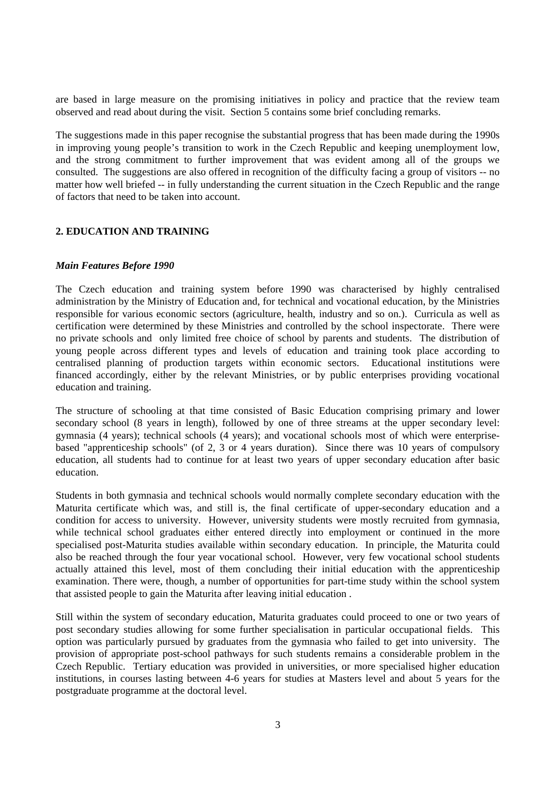are based in large measure on the promising initiatives in policy and practice that the review team observed and read about during the visit. Section 5 contains some brief concluding remarks.

The suggestions made in this paper recognise the substantial progress that has been made during the 1990s in improving young people's transition to work in the Czech Republic and keeping unemployment low, and the strong commitment to further improvement that was evident among all of the groups we consulted. The suggestions are also offered in recognition of the difficulty facing a group of visitors -- no matter how well briefed -- in fully understanding the current situation in the Czech Republic and the range of factors that need to be taken into account.

# **2. EDUCATION AND TRAINING**

#### *Main Features Before 1990*

The Czech education and training system before 1990 was characterised by highly centralised administration by the Ministry of Education and, for technical and vocational education, by the Ministries responsible for various economic sectors (agriculture, health, industry and so on.). Curricula as well as certification were determined by these Ministries and controlled by the school inspectorate. There were no private schools and only limited free choice of school by parents and students. The distribution of young people across different types and levels of education and training took place according to centralised planning of production targets within economic sectors. Educational institutions were financed accordingly, either by the relevant Ministries, or by public enterprises providing vocational education and training.

The structure of schooling at that time consisted of Basic Education comprising primary and lower secondary school (8 years in length), followed by one of three streams at the upper secondary level: gymnasia (4 years); technical schools (4 years); and vocational schools most of which were enterprisebased "apprenticeship schools" (of 2, 3 or 4 years duration). Since there was 10 years of compulsory education, all students had to continue for at least two years of upper secondary education after basic education.

Students in both gymnasia and technical schools would normally complete secondary education with the Maturita certificate which was, and still is, the final certificate of upper-secondary education and a condition for access to university. However, university students were mostly recruited from gymnasia, while technical school graduates either entered directly into employment or continued in the more specialised post-Maturita studies available within secondary education. In principle, the Maturita could also be reached through the four year vocational school. However, very few vocational school students actually attained this level, most of them concluding their initial education with the apprenticeship examination. There were, though, a number of opportunities for part-time study within the school system that assisted people to gain the Maturita after leaving initial education .

Still within the system of secondary education, Maturita graduates could proceed to one or two years of post secondary studies allowing for some further specialisation in particular occupational fields. This option was particularly pursued by graduates from the gymnasia who failed to get into university. The provision of appropriate post-school pathways for such students remains a considerable problem in the Czech Republic. Tertiary education was provided in universities, or more specialised higher education institutions, in courses lasting between 4-6 years for studies at Masters level and about 5 years for the postgraduate programme at the doctoral level.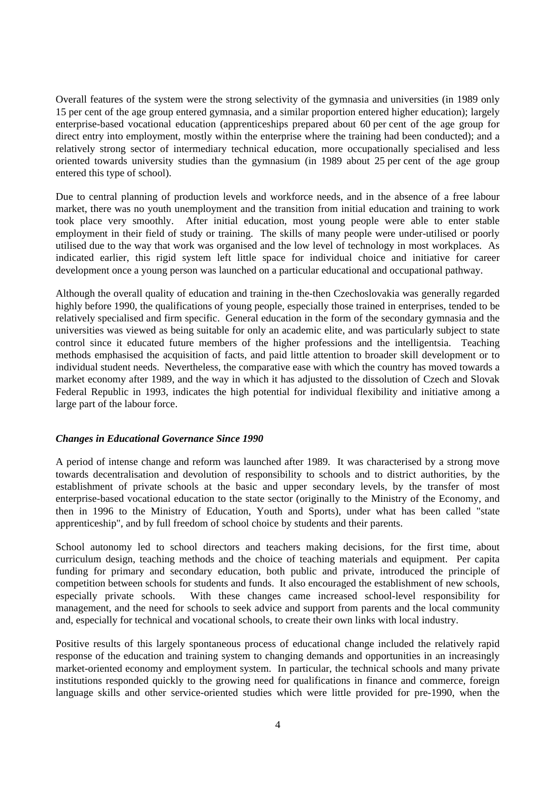Overall features of the system were the strong selectivity of the gymnasia and universities (in 1989 only 15 per cent of the age group entered gymnasia, and a similar proportion entered higher education); largely enterprise-based vocational education (apprenticeships prepared about 60 per cent of the age group for direct entry into employment, mostly within the enterprise where the training had been conducted); and a relatively strong sector of intermediary technical education, more occupationally specialised and less oriented towards university studies than the gymnasium (in 1989 about 25 per cent of the age group entered this type of school).

Due to central planning of production levels and workforce needs, and in the absence of a free labour market, there was no youth unemployment and the transition from initial education and training to work took place very smoothly. After initial education, most young people were able to enter stable employment in their field of study or training. The skills of many people were under-utilised or poorly utilised due to the way that work was organised and the low level of technology in most workplaces. As indicated earlier, this rigid system left little space for individual choice and initiative for career development once a young person was launched on a particular educational and occupational pathway.

Although the overall quality of education and training in the-then Czechoslovakia was generally regarded highly before 1990, the qualifications of young people, especially those trained in enterprises, tended to be relatively specialised and firm specific. General education in the form of the secondary gymnasia and the universities was viewed as being suitable for only an academic elite, and was particularly subject to state control since it educated future members of the higher professions and the intelligentsia. Teaching methods emphasised the acquisition of facts, and paid little attention to broader skill development or to individual student needs. Nevertheless, the comparative ease with which the country has moved towards a market economy after 1989, and the way in which it has adjusted to the dissolution of Czech and Slovak Federal Republic in 1993, indicates the high potential for individual flexibility and initiative among a large part of the labour force.

#### *Changes in Educational Governance Since 1990*

A period of intense change and reform was launched after 1989. It was characterised by a strong move towards decentralisation and devolution of responsibility to schools and to district authorities, by the establishment of private schools at the basic and upper secondary levels, by the transfer of most enterprise-based vocational education to the state sector (originally to the Ministry of the Economy, and then in 1996 to the Ministry of Education, Youth and Sports), under what has been called "state apprenticeship", and by full freedom of school choice by students and their parents.

School autonomy led to school directors and teachers making decisions, for the first time, about curriculum design, teaching methods and the choice of teaching materials and equipment. Per capita funding for primary and secondary education, both public and private, introduced the principle of competition between schools for students and funds. It also encouraged the establishment of new schools, especially private schools. With these changes came increased school-level responsibility for management, and the need for schools to seek advice and support from parents and the local community and, especially for technical and vocational schools, to create their own links with local industry.

Positive results of this largely spontaneous process of educational change included the relatively rapid response of the education and training system to changing demands and opportunities in an increasingly market-oriented economy and employment system. In particular, the technical schools and many private institutions responded quickly to the growing need for qualifications in finance and commerce, foreign language skills and other service-oriented studies which were little provided for pre-1990, when the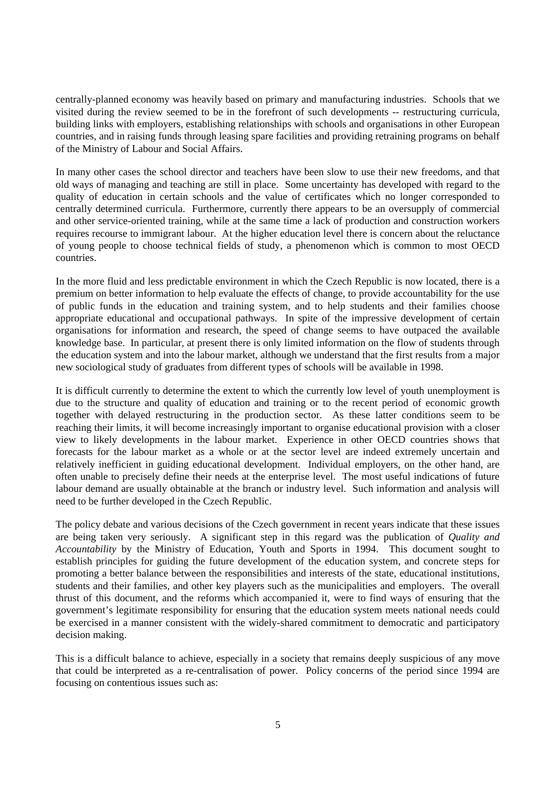centrally-planned economy was heavily based on primary and manufacturing industries. Schools that we visited during the review seemed to be in the forefront of such developments -- restructuring curricula, building links with employers, establishing relationships with schools and organisations in other European countries, and in raising funds through leasing spare facilities and providing retraining programs on behalf of the Ministry of Labour and Social Affairs.

In many other cases the school director and teachers have been slow to use their new freedoms, and that old ways of managing and teaching are still in place. Some uncertainty has developed with regard to the quality of education in certain schools and the value of certificates which no longer corresponded to centrally determined curricula. Furthermore, currently there appears to be an oversupply of commercial and other service-oriented training, while at the same time a lack of production and construction workers requires recourse to immigrant labour. At the higher education level there is concern about the reluctance of young people to choose technical fields of study, a phenomenon which is common to most OECD countries.

In the more fluid and less predictable environment in which the Czech Republic is now located, there is a premium on better information to help evaluate the effects of change, to provide accountability for the use of public funds in the education and training system, and to help students and their families choose appropriate educational and occupational pathways. In spite of the impressive development of certain organisations for information and research, the speed of change seems to have outpaced the available knowledge base. In particular, at present there is only limited information on the flow of students through the education system and into the labour market, although we understand that the first results from a major new sociological study of graduates from different types of schools will be available in 1998.

It is difficult currently to determine the extent to which the currently low level of youth unemployment is due to the structure and quality of education and training or to the recent period of economic growth together with delayed restructuring in the production sector. As these latter conditions seem to be reaching their limits, it will become increasingly important to organise educational provision with a closer view to likely developments in the labour market. Experience in other OECD countries shows that forecasts for the labour market as a whole or at the sector level are indeed extremely uncertain and relatively inefficient in guiding educational development. Individual employers, on the other hand, are often unable to precisely define their needs at the enterprise level. The most useful indications of future labour demand are usually obtainable at the branch or industry level. Such information and analysis will need to be further developed in the Czech Republic.

The policy debate and various decisions of the Czech government in recent years indicate that these issues are being taken very seriously. A significant step in this regard was the publication of *Quality and Accountability* by the Ministry of Education, Youth and Sports in 1994. This document sought to establish principles for guiding the future development of the education system, and concrete steps for promoting a better balance between the responsibilities and interests of the state, educational institutions, students and their families, and other key players such as the municipalities and employers. The overall thrust of this document, and the reforms which accompanied it, were to find ways of ensuring that the government's legitimate responsibility for ensuring that the education system meets national needs could be exercised in a manner consistent with the widely-shared commitment to democratic and participatory decision making.

This is a difficult balance to achieve, especially in a society that remains deeply suspicious of any move that could be interpreted as a re-centralisation of power. Policy concerns of the period since 1994 are focusing on contentious issues such as: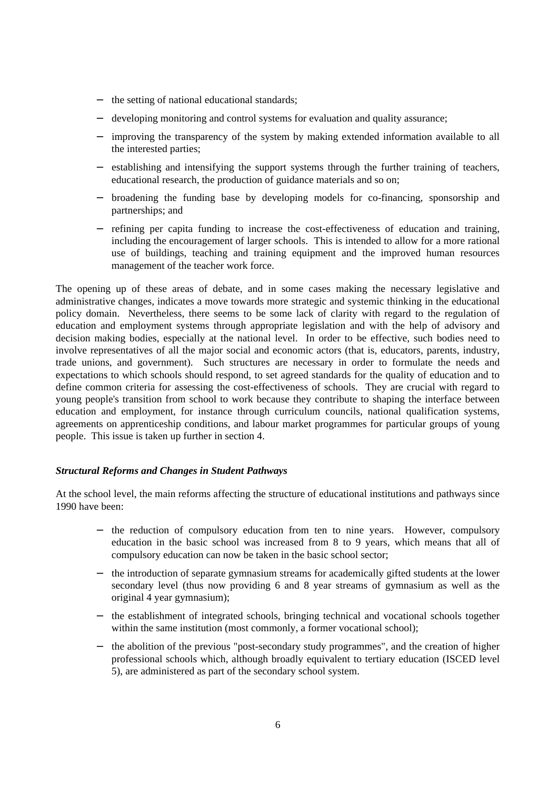- − the setting of national educational standards;
- developing monitoring and control systems for evaluation and quality assurance;
- improving the transparency of the system by making extended information available to all the interested parties;
- − establishing and intensifying the support systems through the further training of teachers, educational research, the production of guidance materials and so on;
- broadening the funding base by developing models for co-financing, sponsorship and partnerships; and
- − refining per capita funding to increase the cost-effectiveness of education and training, including the encouragement of larger schools. This is intended to allow for a more rational use of buildings, teaching and training equipment and the improved human resources management of the teacher work force.

The opening up of these areas of debate, and in some cases making the necessary legislative and administrative changes, indicates a move towards more strategic and systemic thinking in the educational policy domain. Nevertheless, there seems to be some lack of clarity with regard to the regulation of education and employment systems through appropriate legislation and with the help of advisory and decision making bodies, especially at the national level. In order to be effective, such bodies need to involve representatives of all the major social and economic actors (that is, educators, parents, industry, trade unions, and government). Such structures are necessary in order to formulate the needs and expectations to which schools should respond, to set agreed standards for the quality of education and to define common criteria for assessing the cost-effectiveness of schools. They are crucial with regard to young people's transition from school to work because they contribute to shaping the interface between education and employment, for instance through curriculum councils, national qualification systems, agreements on apprenticeship conditions, and labour market programmes for particular groups of young people. This issue is taken up further in section 4.

# *Structural Reforms and Changes in Student Pathways*

At the school level, the main reforms affecting the structure of educational institutions and pathways since 1990 have been:

- − the reduction of compulsory education from ten to nine years. However, compulsory education in the basic school was increased from 8 to 9 years, which means that all of compulsory education can now be taken in the basic school sector;
- − the introduction of separate gymnasium streams for academically gifted students at the lower secondary level (thus now providing 6 and 8 year streams of gymnasium as well as the original 4 year gymnasium);
- − the establishment of integrated schools, bringing technical and vocational schools together within the same institution (most commonly, a former vocational school);
- the abolition of the previous "post-secondary study programmes", and the creation of higher professional schools which, although broadly equivalent to tertiary education (ISCED level 5), are administered as part of the secondary school system.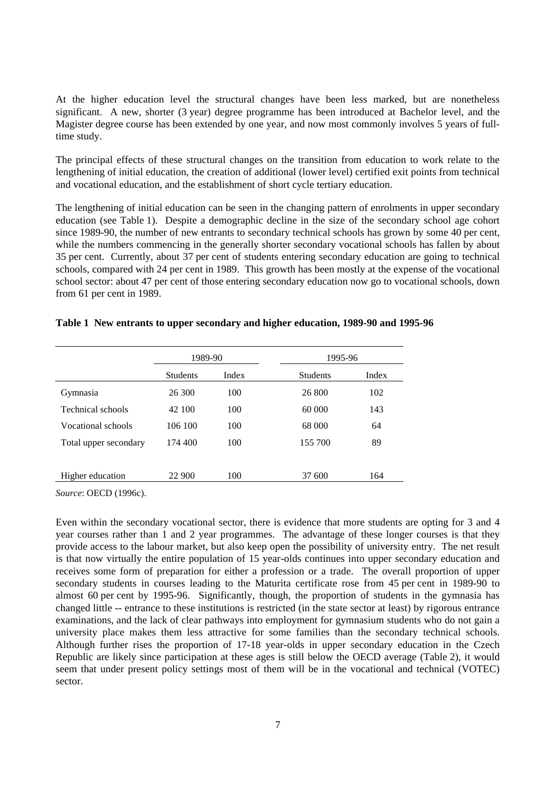At the higher education level the structural changes have been less marked, but are nonetheless significant. A new, shorter (3 year) degree programme has been introduced at Bachelor level, and the Magister degree course has been extended by one year, and now most commonly involves 5 years of fulltime study.

The principal effects of these structural changes on the transition from education to work relate to the lengthening of initial education, the creation of additional (lower level) certified exit points from technical and vocational education, and the establishment of short cycle tertiary education.

The lengthening of initial education can be seen in the changing pattern of enrolments in upper secondary education (see Table 1). Despite a demographic decline in the size of the secondary school age cohort since 1989-90, the number of new entrants to secondary technical schools has grown by some 40 per cent, while the numbers commencing in the generally shorter secondary vocational schools has fallen by about 35 per cent. Currently, about 37 per cent of students entering secondary education are going to technical schools, compared with 24 per cent in 1989. This growth has been mostly at the expense of the vocational school sector: about 47 per cent of those entering secondary education now go to vocational schools, down from 61 per cent in 1989.

|                       | 1989-90         |       | 1995-96         |       |
|-----------------------|-----------------|-------|-----------------|-------|
|                       | <b>Students</b> | Index | <b>Students</b> | Index |
| <b>Gymnasia</b>       | 26 300          | 100   | 26 800          | 102   |
| Technical schools     | 42 100          | 100   | 60 000          | 143   |
| Vocational schools    | 106 100         | 100   | 68 000          | 64    |
| Total upper secondary | 174 400         | 100   | 155 700         | 89    |
|                       |                 |       |                 |       |
| Higher education      | 22 900          | 100   | 37 600          | 164   |

#### **Table 1 New entrants to upper secondary and higher education, 1989-90 and 1995-96**

*Source*: OECD (1996c).

Even within the secondary vocational sector, there is evidence that more students are opting for 3 and 4 year courses rather than 1 and 2 year programmes. The advantage of these longer courses is that they provide access to the labour market, but also keep open the possibility of university entry. The net result is that now virtually the entire population of 15 year-olds continues into upper secondary education and receives some form of preparation for either a profession or a trade. The overall proportion of upper secondary students in courses leading to the Maturita certificate rose from 45 per cent in 1989-90 to almost 60 per cent by 1995-96. Significantly, though, the proportion of students in the gymnasia has changed little -- entrance to these institutions is restricted (in the state sector at least) by rigorous entrance examinations, and the lack of clear pathways into employment for gymnasium students who do not gain a university place makes them less attractive for some families than the secondary technical schools. Although further rises the proportion of 17-18 year-olds in upper secondary education in the Czech Republic are likely since participation at these ages is still below the OECD average (Table 2), it would seem that under present policy settings most of them will be in the vocational and technical (VOTEC) sector.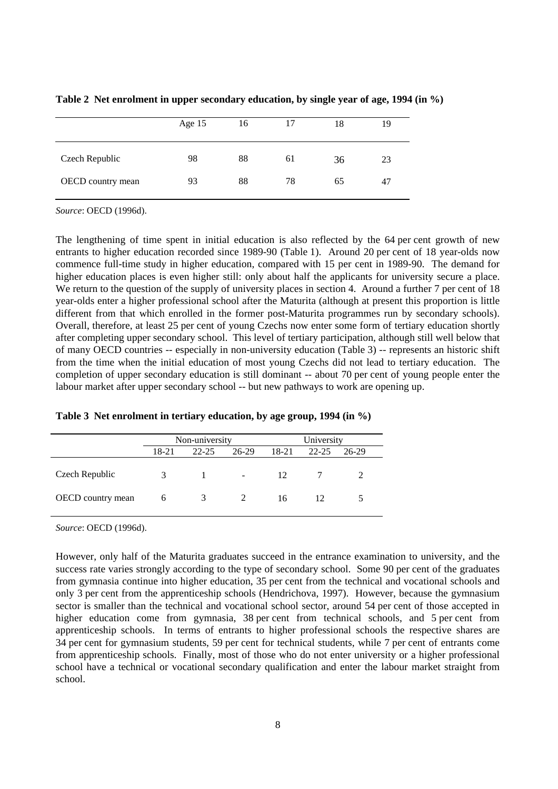|                   | Age 15 | 16 | 17 | 18 | 19 |
|-------------------|--------|----|----|----|----|
| Czech Republic    | 98     | 88 | 61 | 36 | 23 |
| OECD country mean | 93     | 88 | 78 | 65 | 47 |

**Table 2 Net enrolment in upper secondary education, by single year of age, 1994 (in %)**

*Source*: OECD (1996d).

The lengthening of time spent in initial education is also reflected by the 64 per cent growth of new entrants to higher education recorded since 1989-90 (Table 1). Around 20 per cent of 18 year-olds now commence full-time study in higher education, compared with 15 per cent in 1989-90. The demand for higher education places is even higher still: only about half the applicants for university secure a place. We return to the question of the supply of university places in section 4. Around a further 7 per cent of 18 year-olds enter a higher professional school after the Maturita (although at present this proportion is little different from that which enrolled in the former post-Maturita programmes run by secondary schools). Overall, therefore, at least 25 per cent of young Czechs now enter some form of tertiary education shortly after completing upper secondary school. This level of tertiary participation, although still well below that of many OECD countries -- especially in non-university education (Table 3) -- represents an historic shift from the time when the initial education of most young Czechs did not lead to tertiary education. The completion of upper secondary education is still dominant -- about 70 per cent of young people enter the labour market after upper secondary school -- but new pathways to work are opening up.

|                          |       | Non-university |                             |       | University |         |  |
|--------------------------|-------|----------------|-----------------------------|-------|------------|---------|--|
|                          | 18-21 | $22 - 25$      | 26-29                       | 18-21 | $22 - 25$  | $26-29$ |  |
| Czech Republic           |       |                | $\overline{\phantom{a}}$    | 12    |            |         |  |
| <b>OECD</b> country mean | 6     | 3              | $\mathcal{D}_{\mathcal{L}}$ | 16    | 12.        |         |  |

**Table 3 Net enrolment in tertiary education, by age group, 1994 (in %)**

*Source*: OECD (1996d).

However, only half of the Maturita graduates succeed in the entrance examination to university, and the success rate varies strongly according to the type of secondary school. Some 90 per cent of the graduates from gymnasia continue into higher education, 35 per cent from the technical and vocational schools and only 3 per cent from the apprenticeship schools (Hendrichova, 1997). However, because the gymnasium sector is smaller than the technical and vocational school sector, around 54 per cent of those accepted in higher education come from gymnasia, 38 per cent from technical schools, and 5 per cent from apprenticeship schools. In terms of entrants to higher professional schools the respective shares are 34 per cent for gymnasium students, 59 per cent for technical students, while 7 per cent of entrants come from apprenticeship schools. Finally, most of those who do not enter university or a higher professional school have a technical or vocational secondary qualification and enter the labour market straight from school.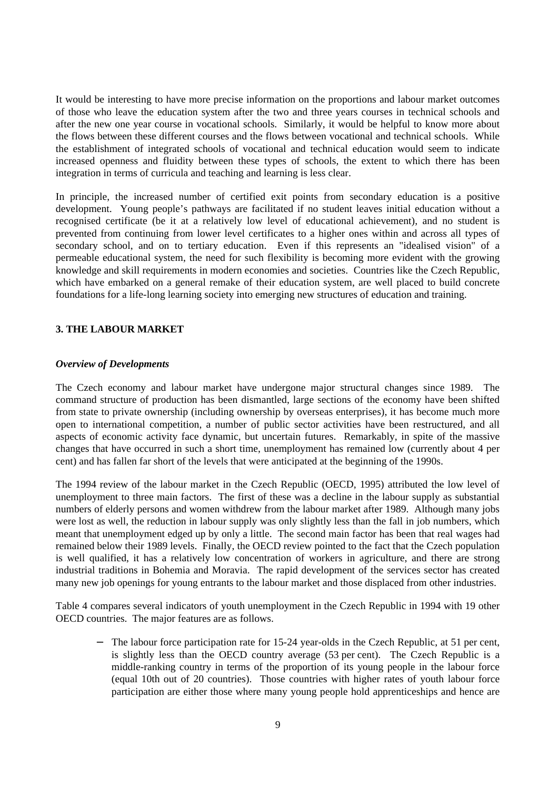It would be interesting to have more precise information on the proportions and labour market outcomes of those who leave the education system after the two and three years courses in technical schools and after the new one year course in vocational schools. Similarly, it would be helpful to know more about the flows between these different courses and the flows between vocational and technical schools. While the establishment of integrated schools of vocational and technical education would seem to indicate increased openness and fluidity between these types of schools, the extent to which there has been integration in terms of curricula and teaching and learning is less clear.

In principle, the increased number of certified exit points from secondary education is a positive development. Young people's pathways are facilitated if no student leaves initial education without a recognised certificate (be it at a relatively low level of educational achievement), and no student is prevented from continuing from lower level certificates to a higher ones within and across all types of secondary school, and on to tertiary education. Even if this represents an "idealised vision" of a permeable educational system, the need for such flexibility is becoming more evident with the growing knowledge and skill requirements in modern economies and societies. Countries like the Czech Republic, which have embarked on a general remake of their education system, are well placed to build concrete foundations for a life-long learning society into emerging new structures of education and training.

# **3. THE LABOUR MARKET**

#### *Overview of Developments*

The Czech economy and labour market have undergone major structural changes since 1989. The command structure of production has been dismantled, large sections of the economy have been shifted from state to private ownership (including ownership by overseas enterprises), it has become much more open to international competition, a number of public sector activities have been restructured, and all aspects of economic activity face dynamic, but uncertain futures. Remarkably, in spite of the massive changes that have occurred in such a short time, unemployment has remained low (currently about 4 per cent) and has fallen far short of the levels that were anticipated at the beginning of the 1990s.

The 1994 review of the labour market in the Czech Republic (OECD, 1995) attributed the low level of unemployment to three main factors. The first of these was a decline in the labour supply as substantial numbers of elderly persons and women withdrew from the labour market after 1989. Although many jobs were lost as well, the reduction in labour supply was only slightly less than the fall in job numbers, which meant that unemployment edged up by only a little. The second main factor has been that real wages had remained below their 1989 levels. Finally, the OECD review pointed to the fact that the Czech population is well qualified, it has a relatively low concentration of workers in agriculture, and there are strong industrial traditions in Bohemia and Moravia. The rapid development of the services sector has created many new job openings for young entrants to the labour market and those displaced from other industries.

Table 4 compares several indicators of youth unemployment in the Czech Republic in 1994 with 19 other OECD countries. The major features are as follows.

The labour force participation rate for 15-24 year-olds in the Czech Republic, at 51 per cent, is slightly less than the OECD country average (53 per cent). The Czech Republic is a middle-ranking country in terms of the proportion of its young people in the labour force (equal 10th out of 20 countries). Those countries with higher rates of youth labour force participation are either those where many young people hold apprenticeships and hence are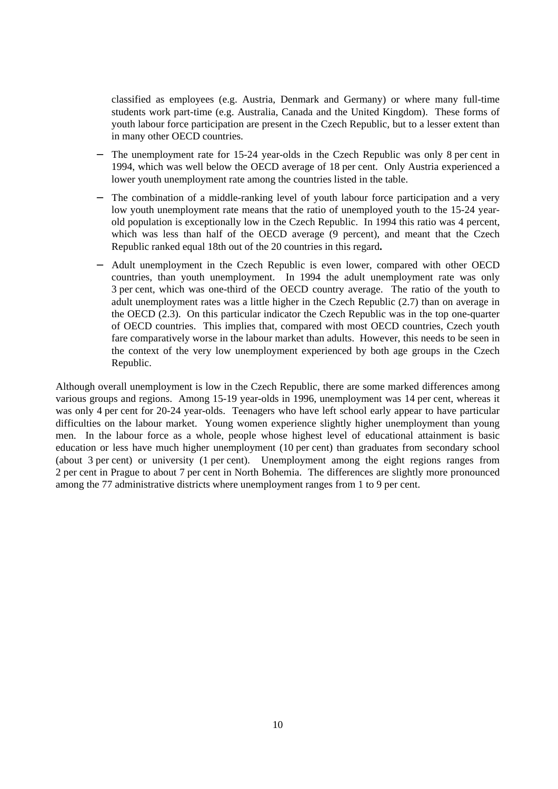classified as employees (e.g. Austria, Denmark and Germany) or where many full-time students work part-time (e.g. Australia, Canada and the United Kingdom). These forms of youth labour force participation are present in the Czech Republic, but to a lesser extent than in many other OECD countries.

- The unemployment rate for 15-24 year-olds in the Czech Republic was only 8 per cent in 1994, which was well below the OECD average of 18 per cent. Only Austria experienced a lower youth unemployment rate among the countries listed in the table.
- The combination of a middle-ranking level of youth labour force participation and a very low youth unemployment rate means that the ratio of unemployed youth to the 15-24 yearold population is exceptionally low in the Czech Republic. In 1994 this ratio was 4 percent, which was less than half of the OECD average (9 percent), and meant that the Czech Republic ranked equal 18th out of the 20 countries in this regard**.**
- − Adult unemployment in the Czech Republic is even lower, compared with other OECD countries, than youth unemployment. In 1994 the adult unemployment rate was only 3 per cent, which was one-third of the OECD country average. The ratio of the youth to adult unemployment rates was a little higher in the Czech Republic (2.7) than on average in the OECD (2.3). On this particular indicator the Czech Republic was in the top one-quarter of OECD countries. This implies that, compared with most OECD countries, Czech youth fare comparatively worse in the labour market than adults. However, this needs to be seen in the context of the very low unemployment experienced by both age groups in the Czech Republic.

Although overall unemployment is low in the Czech Republic, there are some marked differences among various groups and regions. Among 15-19 year-olds in 1996, unemployment was 14 per cent, whereas it was only 4 per cent for 20-24 year-olds. Teenagers who have left school early appear to have particular difficulties on the labour market. Young women experience slightly higher unemployment than young men. In the labour force as a whole, people whose highest level of educational attainment is basic education or less have much higher unemployment (10 per cent) than graduates from secondary school (about 3 per cent) or university (1 per cent). Unemployment among the eight regions ranges from 2 per cent in Prague to about 7 per cent in North Bohemia. The differences are slightly more pronounced among the 77 administrative districts where unemployment ranges from 1 to 9 per cent.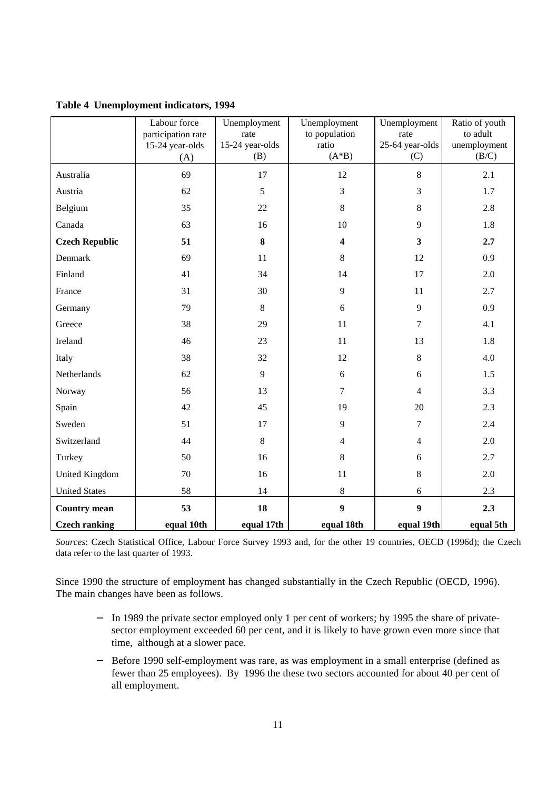|  |  |  | Table 4 Unemployment indicators, 1994 |  |
|--|--|--|---------------------------------------|--|
|--|--|--|---------------------------------------|--|

|                       | Labour force       | Unemployment    | Unemployment            | Unemployment            | Ratio of youth |
|-----------------------|--------------------|-----------------|-------------------------|-------------------------|----------------|
|                       | participation rate | rate            | to population           | rate                    | to adult       |
|                       | 15-24 year-olds    | 15-24 year-olds | ratio                   | 25-64 year-olds         | unemployment   |
|                       | (A)                | (B)             | $(A*B)$                 | (C)                     | (B/C)          |
| Australia             | 69                 | 17              | 12                      | 8                       | 2.1            |
| Austria               | 62                 | 5               | $\overline{3}$          | $\overline{3}$          | 1.7            |
| Belgium               | 35                 | 22              | $8\,$                   | 8                       | 2.8            |
| Canada                | 63                 | 16              | 10                      | 9                       | 1.8            |
| <b>Czech Republic</b> | 51                 | $\bf{8}$        | $\overline{\mathbf{4}}$ | $\overline{\mathbf{3}}$ | 2.7            |
| Denmark               | 69                 | 11              | 8                       | 12                      | 0.9            |
| Finland               | 41                 | 34              | 14                      | 17                      | 2.0            |
| France                | 31                 | 30              | 9                       | 11                      | 2.7            |
| Germany               | 79                 | $8\,$           | 6                       | 9                       | 0.9            |
| Greece                | 38                 | 29              | 11                      | $\overline{7}$          | 4.1            |
| Ireland               | 46                 | 23              | 11                      | 13                      | 1.8            |
| Italy                 | 38                 | 32              | 12                      | 8                       | 4.0            |
| Netherlands           | 62                 | 9               | 6                       | 6                       | 1.5            |
| Norway                | 56                 | 13              | $\overline{7}$          | $\overline{4}$          | 3.3            |
| Spain                 | 42                 | 45              | 19                      | 20                      | 2.3            |
| Sweden                | 51                 | 17              | 9                       | $\overline{7}$          | 2.4            |
| Switzerland           | 44                 | 8               | $\overline{4}$          | $\overline{4}$          | 2.0            |
| Turkey                | 50                 | 16              | 8                       | 6                       | 2.7            |
| <b>United Kingdom</b> | 70                 | 16              | 11                      | 8                       | 2.0            |
| <b>United States</b>  | 58                 | 14              | 8                       | 6                       | 2.3            |
| <b>Country mean</b>   | 53                 | 18              | $\boldsymbol{9}$        | $\boldsymbol{9}$        | 2.3            |
| <b>Czech ranking</b>  | equal 10th         | equal 17th      | equal 18th              | equal 19th              | equal 5th      |

*Sources*: Czech Statistical Office, Labour Force Survey 1993 and, for the other 19 countries, OECD (1996d); the Czech data refer to the last quarter of 1993.

Since 1990 the structure of employment has changed substantially in the Czech Republic (OECD, 1996). The main changes have been as follows.

- − In 1989 the private sector employed only 1 per cent of workers; by 1995 the share of privatesector employment exceeded 60 per cent, and it is likely to have grown even more since that time, although at a slower pace.
- − Before 1990 self-employment was rare, as was employment in a small enterprise (defined as fewer than 25 employees). By 1996 the these two sectors accounted for about 40 per cent of all employment.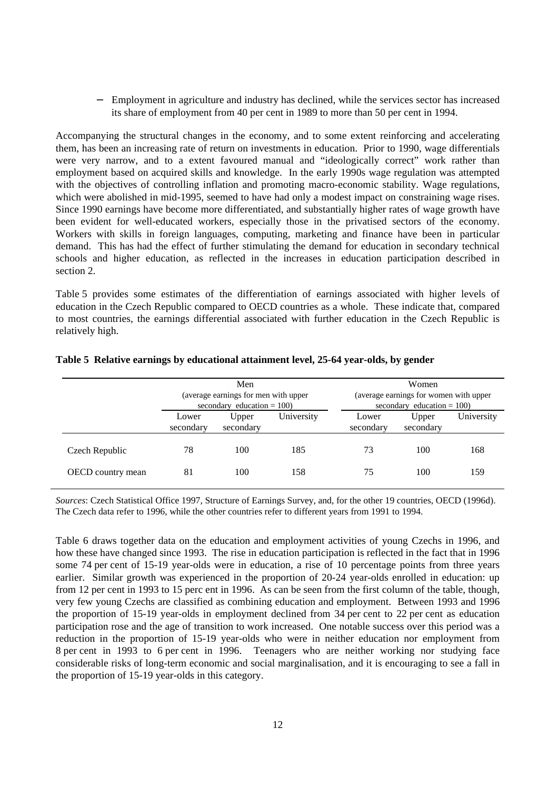− Employment in agriculture and industry has declined, while the services sector has increased its share of employment from 40 per cent in 1989 to more than 50 per cent in 1994.

Accompanying the structural changes in the economy, and to some extent reinforcing and accelerating them, has been an increasing rate of return on investments in education. Prior to 1990, wage differentials were very narrow, and to a extent favoured manual and "ideologically correct" work rather than employment based on acquired skills and knowledge. In the early 1990s wage regulation was attempted with the objectives of controlling inflation and promoting macro-economic stability. Wage regulations, which were abolished in mid-1995, seemed to have had only a modest impact on constraining wage rises. Since 1990 earnings have become more differentiated, and substantially higher rates of wage growth have been evident for well-educated workers, especially those in the privatised sectors of the economy. Workers with skills in foreign languages, computing, marketing and finance have been in particular demand. This has had the effect of further stimulating the demand for education in secondary technical schools and higher education, as reflected in the increases in education participation described in section 2.

Table 5 provides some estimates of the differentiation of earnings associated with higher levels of education in the Czech Republic compared to OECD countries as a whole. These indicate that, compared to most countries, the earnings differential associated with further education in the Czech Republic is relatively high.

|                          | Men                                                                    |                    |            |                                                                         | Women              |            |  |
|--------------------------|------------------------------------------------------------------------|--------------------|------------|-------------------------------------------------------------------------|--------------------|------------|--|
|                          | (average earnings for men with upper)<br>secondary education = $100$ ) |                    |            | (average earnings for women with upper<br>secondary education $= 100$ ) |                    |            |  |
|                          | Lower<br>secondary                                                     | Upper<br>secondary | University | Lower<br>secondary                                                      | Upper<br>secondary | University |  |
| Czech Republic           | 78                                                                     | 100                | 185        | 73                                                                      | 100                | 168        |  |
| <b>OECD</b> country mean | 81                                                                     | 100                | 158        | 75                                                                      | 100                | 159        |  |

#### **Table 5 Relative earnings by educational attainment level, 25-64 year-olds, by gender**

*Sources*: Czech Statistical Office 1997, Structure of Earnings Survey, and, for the other 19 countries, OECD (1996d). The Czech data refer to 1996, while the other countries refer to different years from 1991 to 1994.

Table 6 draws together data on the education and employment activities of young Czechs in 1996, and how these have changed since 1993. The rise in education participation is reflected in the fact that in 1996 some 74 per cent of 15-19 year-olds were in education, a rise of 10 percentage points from three years earlier. Similar growth was experienced in the proportion of 20-24 year-olds enrolled in education: up from 12 per cent in 1993 to 15 perc ent in 1996. As can be seen from the first column of the table, though, very few young Czechs are classified as combining education and employment. Between 1993 and 1996 the proportion of 15-19 year-olds in employment declined from 34 per cent to 22 per cent as education participation rose and the age of transition to work increased. One notable success over this period was a reduction in the proportion of 15-19 year-olds who were in neither education nor employment from 8 per cent in 1993 to 6 per cent in 1996. Teenagers who are neither working nor studying face considerable risks of long-term economic and social marginalisation, and it is encouraging to see a fall in the proportion of 15-19 year-olds in this category.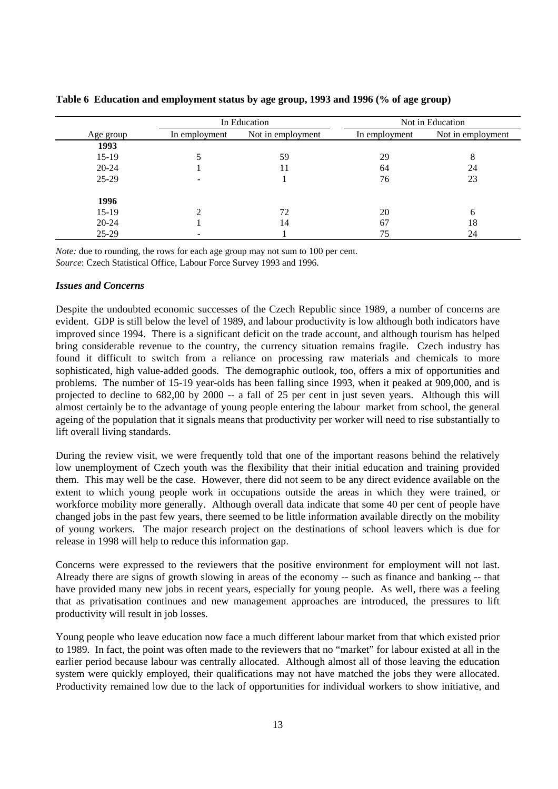|           |               | In Education      |               | Not in Education  |
|-----------|---------------|-------------------|---------------|-------------------|
| Age group | In employment | Not in employment | In employment | Not in employment |
| 1993      |               |                   |               |                   |
| $15-19$   |               | 59                | 29            | 8                 |
| $20 - 24$ |               | 11                | 64            | 24                |
| $25-29$   |               |                   | 76            | 23                |
| 1996      |               |                   |               |                   |
| $15-19$   | ◠             | 72                | 20            | 6                 |
| $20 - 24$ |               | 14                | 67            | 18                |
| 25-29     |               |                   | 75            | 24                |

#### **Table 6 Education and employment status by age group, 1993 and 1996 (% of age group)**

*Note:* due to rounding, the rows for each age group may not sum to 100 per cent. *Source*: Czech Statistical Office, Labour Force Survey 1993 and 1996.

#### *Issues and Concerns*

Despite the undoubted economic successes of the Czech Republic since 1989, a number of concerns are evident. GDP is still below the level of 1989, and labour productivity is low although both indicators have improved since 1994. There is a significant deficit on the trade account, and although tourism has helped bring considerable revenue to the country, the currency situation remains fragile. Czech industry has found it difficult to switch from a reliance on processing raw materials and chemicals to more sophisticated, high value-added goods. The demographic outlook, too, offers a mix of opportunities and problems. The number of 15-19 year-olds has been falling since 1993, when it peaked at 909,000, and is projected to decline to 682,00 by 2000 -- a fall of 25 per cent in just seven years. Although this will almost certainly be to the advantage of young people entering the labour market from school, the general ageing of the population that it signals means that productivity per worker will need to rise substantially to lift overall living standards.

During the review visit, we were frequently told that one of the important reasons behind the relatively low unemployment of Czech youth was the flexibility that their initial education and training provided them. This may well be the case. However, there did not seem to be any direct evidence available on the extent to which young people work in occupations outside the areas in which they were trained, or workforce mobility more generally. Although overall data indicate that some 40 per cent of people have changed jobs in the past few years, there seemed to be little information available directly on the mobility of young workers. The major research project on the destinations of school leavers which is due for release in 1998 will help to reduce this information gap.

Concerns were expressed to the reviewers that the positive environment for employment will not last. Already there are signs of growth slowing in areas of the economy -- such as finance and banking -- that have provided many new jobs in recent years, especially for young people. As well, there was a feeling that as privatisation continues and new management approaches are introduced, the pressures to lift productivity will result in job losses.

Young people who leave education now face a much different labour market from that which existed prior to 1989. In fact, the point was often made to the reviewers that no "market" for labour existed at all in the earlier period because labour was centrally allocated. Although almost all of those leaving the education system were quickly employed, their qualifications may not have matched the jobs they were allocated. Productivity remained low due to the lack of opportunities for individual workers to show initiative, and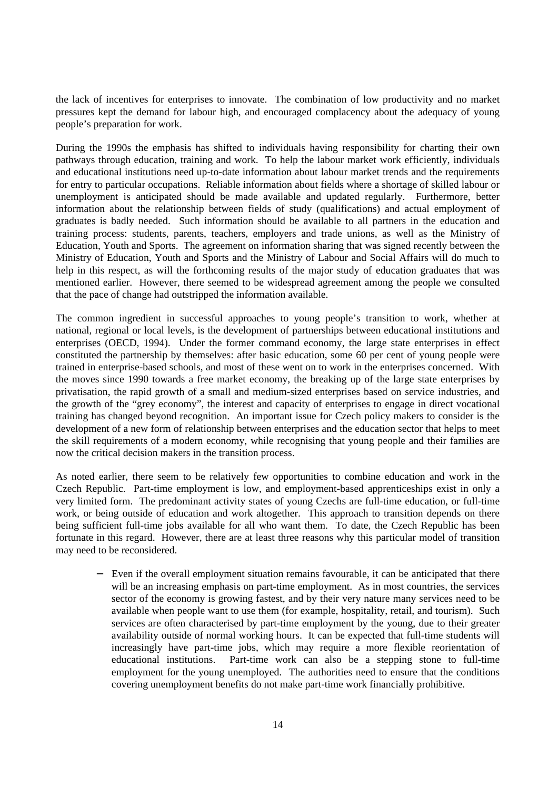the lack of incentives for enterprises to innovate. The combination of low productivity and no market pressures kept the demand for labour high, and encouraged complacency about the adequacy of young people's preparation for work.

During the 1990s the emphasis has shifted to individuals having responsibility for charting their own pathways through education, training and work. To help the labour market work efficiently, individuals and educational institutions need up-to-date information about labour market trends and the requirements for entry to particular occupations. Reliable information about fields where a shortage of skilled labour or unemployment is anticipated should be made available and updated regularly. Furthermore, better information about the relationship between fields of study (qualifications) and actual employment of graduates is badly needed. Such information should be available to all partners in the education and training process: students, parents, teachers, employers and trade unions, as well as the Ministry of Education, Youth and Sports. The agreement on information sharing that was signed recently between the Ministry of Education, Youth and Sports and the Ministry of Labour and Social Affairs will do much to help in this respect, as will the forthcoming results of the major study of education graduates that was mentioned earlier. However, there seemed to be widespread agreement among the people we consulted that the pace of change had outstripped the information available.

The common ingredient in successful approaches to young people's transition to work, whether at national, regional or local levels, is the development of partnerships between educational institutions and enterprises (OECD, 1994). Under the former command economy, the large state enterprises in effect constituted the partnership by themselves: after basic education, some 60 per cent of young people were trained in enterprise-based schools, and most of these went on to work in the enterprises concerned. With the moves since 1990 towards a free market economy, the breaking up of the large state enterprises by privatisation, the rapid growth of a small and medium-sized enterprises based on service industries, and the growth of the "grey economy", the interest and capacity of enterprises to engage in direct vocational training has changed beyond recognition. An important issue for Czech policy makers to consider is the development of a new form of relationship between enterprises and the education sector that helps to meet the skill requirements of a modern economy, while recognising that young people and their families are now the critical decision makers in the transition process.

As noted earlier, there seem to be relatively few opportunities to combine education and work in the Czech Republic. Part-time employment is low, and employment-based apprenticeships exist in only a very limited form. The predominant activity states of young Czechs are full-time education, or full-time work, or being outside of education and work altogether. This approach to transition depends on there being sufficient full-time jobs available for all who want them. To date, the Czech Republic has been fortunate in this regard. However, there are at least three reasons why this particular model of transition may need to be reconsidered.

Even if the overall employment situation remains favourable, it can be anticipated that there will be an increasing emphasis on part-time employment. As in most countries, the services sector of the economy is growing fastest, and by their very nature many services need to be available when people want to use them (for example, hospitality, retail, and tourism). Such services are often characterised by part-time employment by the young, due to their greater availability outside of normal working hours. It can be expected that full-time students will increasingly have part-time jobs, which may require a more flexible reorientation of educational institutions. Part-time work can also be a stepping stone to full-time employment for the young unemployed. The authorities need to ensure that the conditions covering unemployment benefits do not make part-time work financially prohibitive.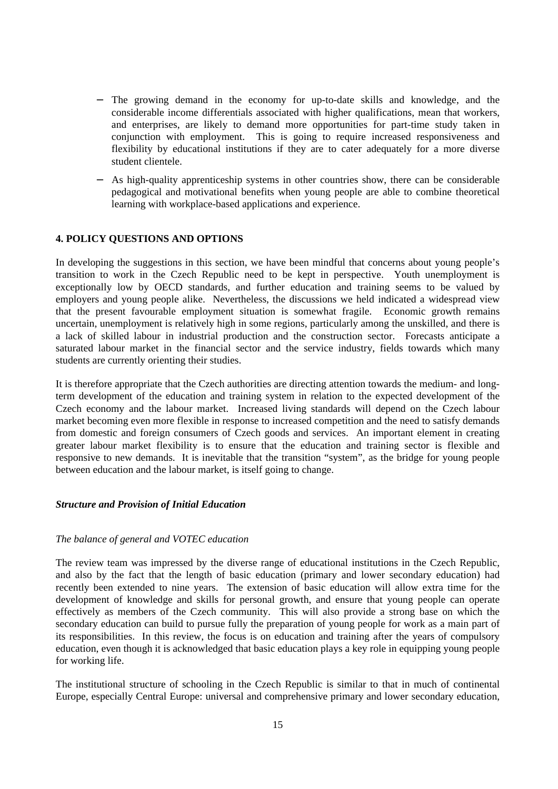- − The growing demand in the economy for up-to-date skills and knowledge, and the considerable income differentials associated with higher qualifications, mean that workers, and enterprises, are likely to demand more opportunities for part-time study taken in conjunction with employment. This is going to require increased responsiveness and flexibility by educational institutions if they are to cater adequately for a more diverse student clientele.
- As high-quality apprenticeship systems in other countries show, there can be considerable pedagogical and motivational benefits when young people are able to combine theoretical learning with workplace-based applications and experience.

#### **4. POLICY QUESTIONS AND OPTIONS**

In developing the suggestions in this section, we have been mindful that concerns about young people's transition to work in the Czech Republic need to be kept in perspective. Youth unemployment is exceptionally low by OECD standards, and further education and training seems to be valued by employers and young people alike. Nevertheless, the discussions we held indicated a widespread view that the present favourable employment situation is somewhat fragile. Economic growth remains uncertain, unemployment is relatively high in some regions, particularly among the unskilled, and there is a lack of skilled labour in industrial production and the construction sector. Forecasts anticipate a saturated labour market in the financial sector and the service industry, fields towards which many students are currently orienting their studies.

It is therefore appropriate that the Czech authorities are directing attention towards the medium- and longterm development of the education and training system in relation to the expected development of the Czech economy and the labour market. Increased living standards will depend on the Czech labour market becoming even more flexible in response to increased competition and the need to satisfy demands from domestic and foreign consumers of Czech goods and services. An important element in creating greater labour market flexibility is to ensure that the education and training sector is flexible and responsive to new demands. It is inevitable that the transition "system", as the bridge for young people between education and the labour market, is itself going to change.

#### *Structure and Provision of Initial Education*

#### *The balance of general and VOTEC education*

The review team was impressed by the diverse range of educational institutions in the Czech Republic, and also by the fact that the length of basic education (primary and lower secondary education) had recently been extended to nine years. The extension of basic education will allow extra time for the development of knowledge and skills for personal growth, and ensure that young people can operate effectively as members of the Czech community. This will also provide a strong base on which the secondary education can build to pursue fully the preparation of young people for work as a main part of its responsibilities. In this review, the focus is on education and training after the years of compulsory education, even though it is acknowledged that basic education plays a key role in equipping young people for working life.

The institutional structure of schooling in the Czech Republic is similar to that in much of continental Europe, especially Central Europe: universal and comprehensive primary and lower secondary education,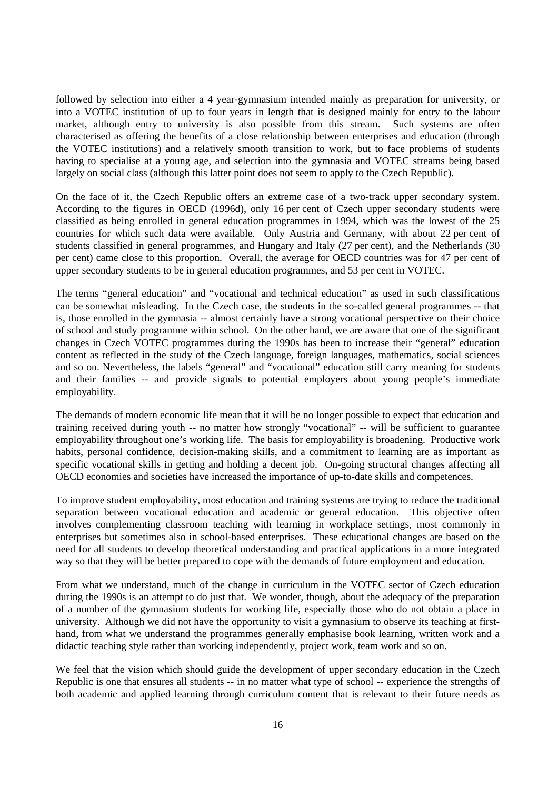followed by selection into either a 4 year-gymnasium intended mainly as preparation for university, or into a VOTEC institution of up to four years in length that is designed mainly for entry to the labour market, although entry to university is also possible from this stream. Such systems are often characterised as offering the benefits of a close relationship between enterprises and education (through the VOTEC institutions) and a relatively smooth transition to work, but to face problems of students having to specialise at a young age, and selection into the gymnasia and VOTEC streams being based largely on social class (although this latter point does not seem to apply to the Czech Republic).

On the face of it, the Czech Republic offers an extreme case of a two-track upper secondary system. According to the figures in OECD (1996d), only 16 per cent of Czech upper secondary students were classified as being enrolled in general education programmes in 1994, which was the lowest of the 25 countries for which such data were available. Only Austria and Germany, with about 22 per cent of students classified in general programmes, and Hungary and Italy (27 per cent), and the Netherlands (30 per cent) came close to this proportion. Overall, the average for OECD countries was for 47 per cent of upper secondary students to be in general education programmes, and 53 per cent in VOTEC.

The terms "general education" and "vocational and technical education" as used in such classifications can be somewhat misleading. In the Czech case, the students in the so-called general programmes -- that is, those enrolled in the gymnasia -- almost certainly have a strong vocational perspective on their choice of school and study programme within school. On the other hand, we are aware that one of the significant changes in Czech VOTEC programmes during the 1990s has been to increase their "general" education content as reflected in the study of the Czech language, foreign languages, mathematics, social sciences and so on. Nevertheless, the labels "general" and "vocational" education still carry meaning for students and their families -- and provide signals to potential employers about young people's immediate employability.

The demands of modern economic life mean that it will be no longer possible to expect that education and training received during youth -- no matter how strongly "vocational" -- will be sufficient to guarantee employability throughout one's working life. The basis for employability is broadening. Productive work habits, personal confidence, decision-making skills, and a commitment to learning are as important as specific vocational skills in getting and holding a decent job. On-going structural changes affecting all OECD economies and societies have increased the importance of up-to-date skills and competences.

To improve student employability, most education and training systems are trying to reduce the traditional separation between vocational education and academic or general education. This objective often involves complementing classroom teaching with learning in workplace settings, most commonly in enterprises but sometimes also in school-based enterprises. These educational changes are based on the need for all students to develop theoretical understanding and practical applications in a more integrated way so that they will be better prepared to cope with the demands of future employment and education.

From what we understand, much of the change in curriculum in the VOTEC sector of Czech education during the 1990s is an attempt to do just that. We wonder, though, about the adequacy of the preparation of a number of the gymnasium students for working life, especially those who do not obtain a place in university. Although we did not have the opportunity to visit a gymnasium to observe its teaching at firsthand, from what we understand the programmes generally emphasise book learning, written work and a didactic teaching style rather than working independently, project work, team work and so on.

We feel that the vision which should guide the development of upper secondary education in the Czech Republic is one that ensures all students -- in no matter what type of school -- experience the strengths of both academic and applied learning through curriculum content that is relevant to their future needs as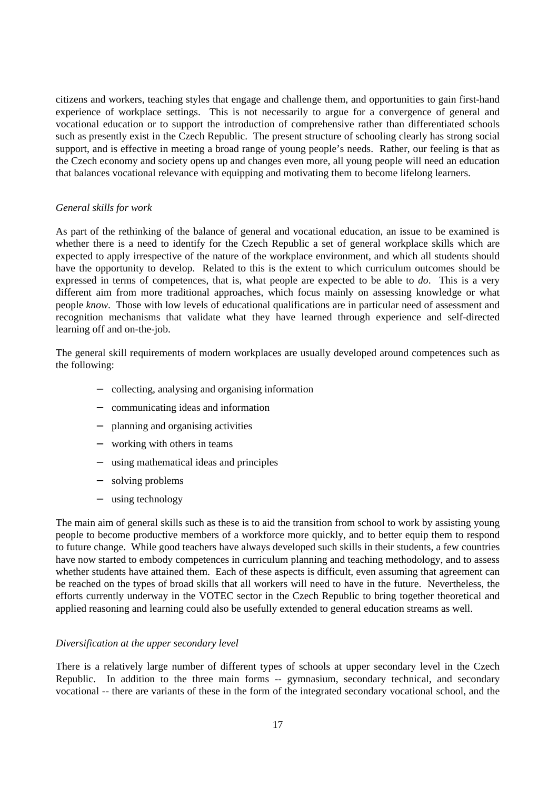citizens and workers, teaching styles that engage and challenge them, and opportunities to gain first-hand experience of workplace settings. This is not necessarily to argue for a convergence of general and vocational education or to support the introduction of comprehensive rather than differentiated schools such as presently exist in the Czech Republic. The present structure of schooling clearly has strong social support, and is effective in meeting a broad range of young people's needs. Rather, our feeling is that as the Czech economy and society opens up and changes even more, all young people will need an education that balances vocational relevance with equipping and motivating them to become lifelong learners.

#### *General skills for work*

As part of the rethinking of the balance of general and vocational education, an issue to be examined is whether there is a need to identify for the Czech Republic a set of general workplace skills which are expected to apply irrespective of the nature of the workplace environment, and which all students should have the opportunity to develop. Related to this is the extent to which curriculum outcomes should be expressed in terms of competences, that is, what people are expected to be able to *do*. This is a very different aim from more traditional approaches, which focus mainly on assessing knowledge or what people *know*. Those with low levels of educational qualifications are in particular need of assessment and recognition mechanisms that validate what they have learned through experience and self-directed learning off and on-the-job.

The general skill requirements of modern workplaces are usually developed around competences such as the following:

- − collecting, analysing and organising information
- − communicating ideas and information
- − planning and organising activities
- − working with others in teams
- − using mathematical ideas and principles
- − solving problems
- − using technology

The main aim of general skills such as these is to aid the transition from school to work by assisting young people to become productive members of a workforce more quickly, and to better equip them to respond to future change. While good teachers have always developed such skills in their students, a few countries have now started to embody competences in curriculum planning and teaching methodology, and to assess whether students have attained them. Each of these aspects is difficult, even assuming that agreement can be reached on the types of broad skills that all workers will need to have in the future. Nevertheless, the efforts currently underway in the VOTEC sector in the Czech Republic to bring together theoretical and applied reasoning and learning could also be usefully extended to general education streams as well.

#### *Diversification at the upper secondary level*

There is a relatively large number of different types of schools at upper secondary level in the Czech Republic. In addition to the three main forms -- gymnasium, secondary technical, and secondary vocational -- there are variants of these in the form of the integrated secondary vocational school, and the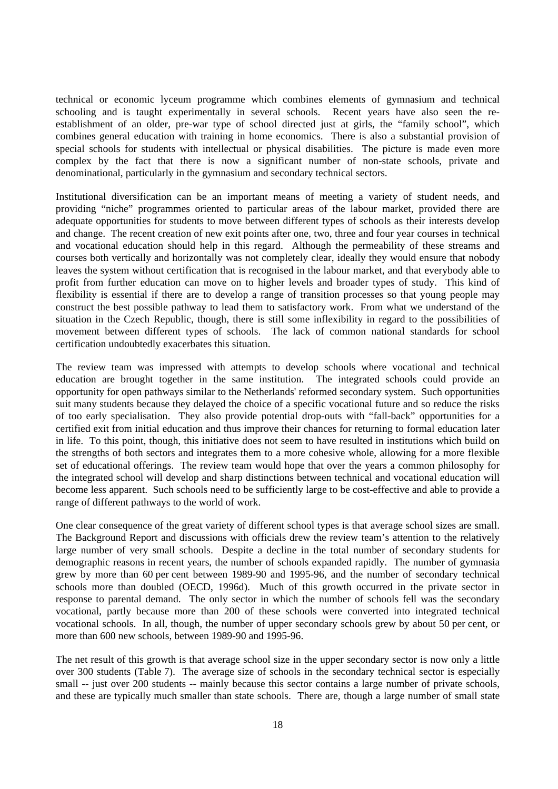technical or economic lyceum programme which combines elements of gymnasium and technical schooling and is taught experimentally in several schools. Recent years have also seen the reestablishment of an older, pre-war type of school directed just at girls, the "family school", which combines general education with training in home economics. There is also a substantial provision of special schools for students with intellectual or physical disabilities. The picture is made even more complex by the fact that there is now a significant number of non-state schools, private and denominational, particularly in the gymnasium and secondary technical sectors.

Institutional diversification can be an important means of meeting a variety of student needs, and providing "niche" programmes oriented to particular areas of the labour market, provided there are adequate opportunities for students to move between different types of schools as their interests develop and change. The recent creation of new exit points after one, two, three and four year courses in technical and vocational education should help in this regard. Although the permeability of these streams and courses both vertically and horizontally was not completely clear, ideally they would ensure that nobody leaves the system without certification that is recognised in the labour market, and that everybody able to profit from further education can move on to higher levels and broader types of study. This kind of flexibility is essential if there are to develop a range of transition processes so that young people may construct the best possible pathway to lead them to satisfactory work. From what we understand of the situation in the Czech Republic, though, there is still some inflexibility in regard to the possibilities of movement between different types of schools. The lack of common national standards for school certification undoubtedly exacerbates this situation.

The review team was impressed with attempts to develop schools where vocational and technical education are brought together in the same institution. The integrated schools could provide an opportunity for open pathways similar to the Netherlands' reformed secondary system. Such opportunities suit many students because they delayed the choice of a specific vocational future and so reduce the risks of too early specialisation. They also provide potential drop-outs with "fall-back" opportunities for a certified exit from initial education and thus improve their chances for returning to formal education later in life. To this point, though, this initiative does not seem to have resulted in institutions which build on the strengths of both sectors and integrates them to a more cohesive whole, allowing for a more flexible set of educational offerings. The review team would hope that over the years a common philosophy for the integrated school will develop and sharp distinctions between technical and vocational education will become less apparent. Such schools need to be sufficiently large to be cost-effective and able to provide a range of different pathways to the world of work.

One clear consequence of the great variety of different school types is that average school sizes are small. The Background Report and discussions with officials drew the review team's attention to the relatively large number of very small schools. Despite a decline in the total number of secondary students for demographic reasons in recent years, the number of schools expanded rapidly. The number of gymnasia grew by more than 60 per cent between 1989-90 and 1995-96, and the number of secondary technical schools more than doubled (OECD, 1996d). Much of this growth occurred in the private sector in response to parental demand. The only sector in which the number of schools fell was the secondary vocational, partly because more than 200 of these schools were converted into integrated technical vocational schools. In all, though, the number of upper secondary schools grew by about 50 per cent, or more than 600 new schools, between 1989-90 and 1995-96.

The net result of this growth is that average school size in the upper secondary sector is now only a little over 300 students (Table 7). The average size of schools in the secondary technical sector is especially small -- just over 200 students -- mainly because this sector contains a large number of private schools, and these are typically much smaller than state schools. There are, though a large number of small state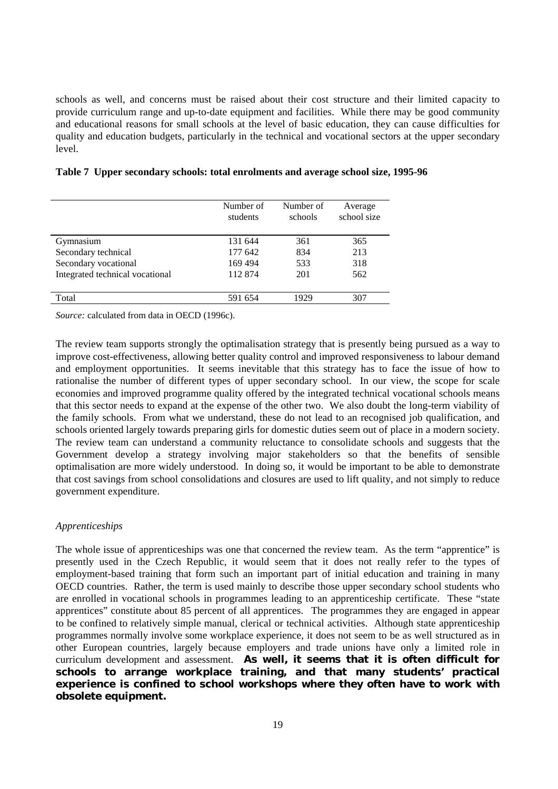schools as well, and concerns must be raised about their cost structure and their limited capacity to provide curriculum range and up-to-date equipment and facilities. While there may be good community and educational reasons for small schools at the level of basic education, they can cause difficulties for quality and education budgets, particularly in the technical and vocational sectors at the upper secondary level.

|                                 | Number of<br>students | Number of<br>schools | Average<br>school size |
|---------------------------------|-----------------------|----------------------|------------------------|
| Gymnasium                       | 131 644               | 361                  | 365                    |
| Secondary technical             | 177 642               | 834                  | 213                    |
| Secondary vocational            | 169 494               | 533                  | 318                    |
| Integrated technical vocational | 112 874               | 201                  | 562                    |
| Total                           | 591 654               | 1929                 | 307                    |

#### **Table 7 Upper secondary schools: total enrolments and average school size, 1995-96**

*Source:* calculated from data in OECD (1996c).

The review team supports strongly the optimalisation strategy that is presently being pursued as a way to improve cost-effectiveness, allowing better quality control and improved responsiveness to labour demand and employment opportunities. It seems inevitable that this strategy has to face the issue of how to rationalise the number of different types of upper secondary school. In our view, the scope for scale economies and improved programme quality offered by the integrated technical vocational schools means that this sector needs to expand at the expense of the other two. We also doubt the long-term viability of the family schools. From what we understand, these do not lead to an recognised job qualification, and schools oriented largely towards preparing girls for domestic duties seem out of place in a modern society. The review team can understand a community reluctance to consolidate schools and suggests that the Government develop a strategy involving major stakeholders so that the benefits of sensible optimalisation are more widely understood. In doing so, it would be important to be able to demonstrate that cost savings from school consolidations and closures are used to lift quality, and not simply to reduce government expenditure.

#### *Apprenticeships*

The whole issue of apprenticeships was one that concerned the review team. As the term "apprentice" is presently used in the Czech Republic, it would seem that it does not really refer to the types of employment-based training that form such an important part of initial education and training in many OECD countries. Rather, the term is used mainly to describe those upper secondary school students who are enrolled in vocational schools in programmes leading to an apprenticeship certificate. These "state apprentices" constitute about 85 percent of all apprentices.The programmes they are engaged in appear to be confined to relatively simple manual, clerical or technical activities. Although state apprenticeship programmes normally involve some workplace experience, it does not seem to be as well structured as in other European countries, largely because employers and trade unions have only a limited role in curriculum development and assessment. **As well, it seems that it is often difficult for schools to arrange workplace training, and that many students' practical experience is confined to school workshops where they often have to work with obsolete equipment.**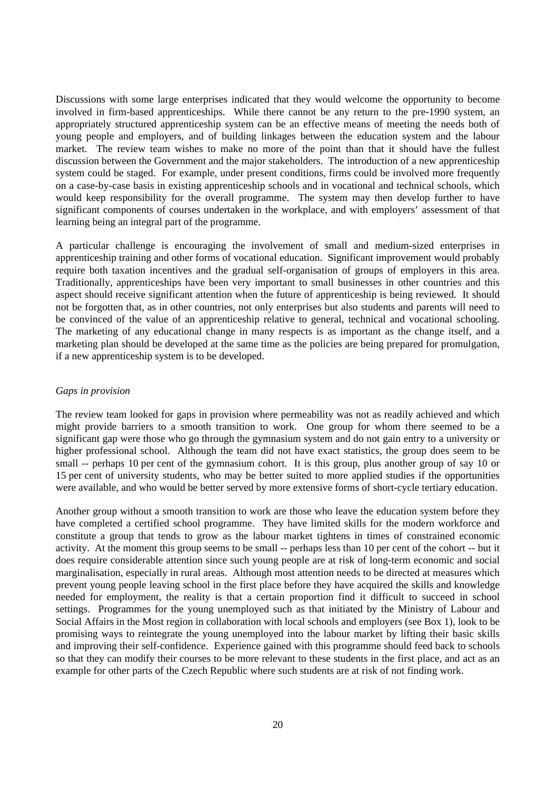Discussions with some large enterprises indicated that they would welcome the opportunity to become involved in firm-based apprenticeships. While there cannot be any return to the pre-1990 system, an appropriately structured apprenticeship system can be an effective means of meeting the needs both of young people and employers, and of building linkages between the education system and the labour market. The review team wishes to make no more of the point than that it should have the fullest discussion between the Government and the major stakeholders. The introduction of a new apprenticeship system could be staged. For example, under present conditions, firms could be involved more frequently on a case-by-case basis in existing apprenticeship schools and in vocational and technical schools, which would keep responsibility for the overall programme. The system may then develop further to have significant components of courses undertaken in the workplace, and with employers' assessment of that learning being an integral part of the programme.

A particular challenge is encouraging the involvement of small and medium-sized enterprises in apprenticeship training and other forms of vocational education. Significant improvement would probably require both taxation incentives and the gradual self-organisation of groups of employers in this area. Traditionally, apprenticeships have been very important to small businesses in other countries and this aspect should receive significant attention when the future of apprenticeship is being reviewed. It should not be forgotten that, as in other countries, not only enterprises but also students and parents will need to be convinced of the value of an apprenticeship relative to general, technical and vocational schooling. The marketing of any educational change in many respects is as important as the change itself, and a marketing plan should be developed at the same time as the policies are being prepared for promulgation, if a new apprenticeship system is to be developed.

#### *Gaps in provision*

The review team looked for gaps in provision where permeability was not as readily achieved and which might provide barriers to a smooth transition to work. One group for whom there seemed to be a significant gap were those who go through the gymnasium system and do not gain entry to a university or higher professional school. Although the team did not have exact statistics, the group does seem to be small -- perhaps 10 per cent of the gymnasium cohort. It is this group, plus another group of say 10 or 15 per cent of university students, who may be better suited to more applied studies if the opportunities were available, and who would be better served by more extensive forms of short-cycle tertiary education.

Another group without a smooth transition to work are those who leave the education system before they have completed a certified school programme. They have limited skills for the modern workforce and constitute a group that tends to grow as the labour market tightens in times of constrained economic activity. At the moment this group seems to be small -- perhaps less than 10 per cent of the cohort -- but it does require considerable attention since such young people are at risk of long-term economic and social marginalisation, especially in rural areas. Although most attention needs to be directed at measures which prevent young people leaving school in the first place before they have acquired the skills and knowledge needed for employment, the reality is that a certain proportion find it difficult to succeed in school settings. Programmes for the young unemployed such as that initiated by the Ministry of Labour and Social Affairs in the Most region in collaboration with local schools and employers (see Box 1), look to be promising ways to reintegrate the young unemployed into the labour market by lifting their basic skills and improving their self-confidence. Experience gained with this programme should feed back to schools so that they can modify their courses to be more relevant to these students in the first place, and act as an example for other parts of the Czech Republic where such students are at risk of not finding work.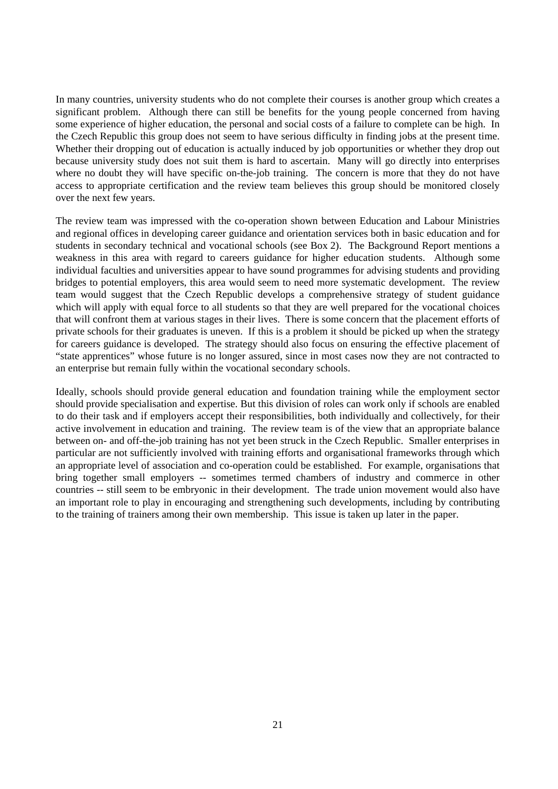In many countries, university students who do not complete their courses is another group which creates a significant problem. Although there can still be benefits for the young people concerned from having some experience of higher education, the personal and social costs of a failure to complete can be high. In the Czech Republic this group does not seem to have serious difficulty in finding jobs at the present time. Whether their dropping out of education is actually induced by job opportunities or whether they drop out because university study does not suit them is hard to ascertain. Many will go directly into enterprises where no doubt they will have specific on-the-job training. The concern is more that they do not have access to appropriate certification and the review team believes this group should be monitored closely over the next few years.

The review team was impressed with the co-operation shown between Education and Labour Ministries and regional offices in developing career guidance and orientation services both in basic education and for students in secondary technical and vocational schools (see Box 2). The Background Report mentions a weakness in this area with regard to careers guidance for higher education students. Although some individual faculties and universities appear to have sound programmes for advising students and providing bridges to potential employers, this area would seem to need more systematic development. The review team would suggest that the Czech Republic develops a comprehensive strategy of student guidance which will apply with equal force to all students so that they are well prepared for the vocational choices that will confront them at various stages in their lives. There is some concern that the placement efforts of private schools for their graduates is uneven. If this is a problem it should be picked up when the strategy for careers guidance is developed. The strategy should also focus on ensuring the effective placement of "state apprentices" whose future is no longer assured, since in most cases now they are not contracted to an enterprise but remain fully within the vocational secondary schools.

Ideally, schools should provide general education and foundation training while the employment sector should provide specialisation and expertise. But this division of roles can work only if schools are enabled to do their task and if employers accept their responsibilities, both individually and collectively, for their active involvement in education and training. The review team is of the view that an appropriate balance between on- and off-the-job training has not yet been struck in the Czech Republic. Smaller enterprises in particular are not sufficiently involved with training efforts and organisational frameworks through which an appropriate level of association and co-operation could be established. For example, organisations that bring together small employers -- sometimes termed chambers of industry and commerce in other countries -- still seem to be embryonic in their development. The trade union movement would also have an important role to play in encouraging and strengthening such developments, including by contributing to the training of trainers among their own membership. This issue is taken up later in the paper.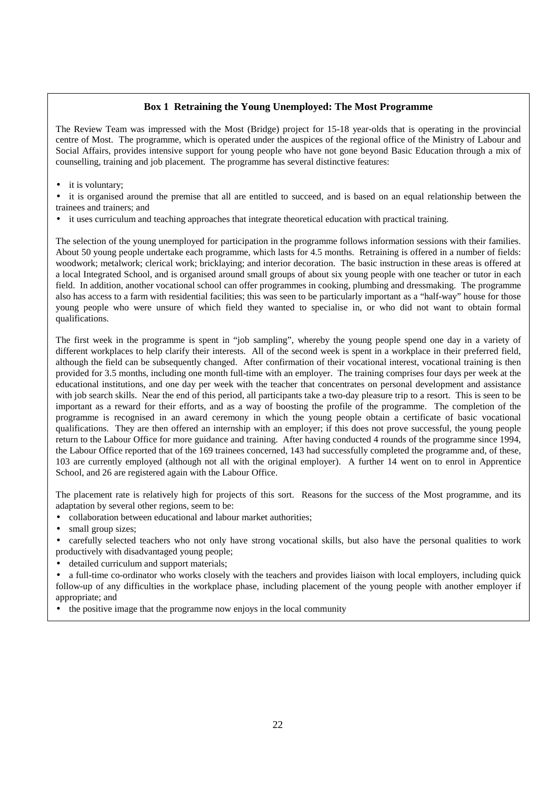#### **Box 1 Retraining the Young Unemployed: The Most Programme**

The Review Team was impressed with the Most (Bridge) project for 15-18 year-olds that is operating in the provincial centre of Most. The programme, which is operated under the auspices of the regional office of the Ministry of Labour and Social Affairs, provides intensive support for young people who have not gone beyond Basic Education through a mix of counselling, training and job placement. The programme has several distinctive features:

• it is voluntary:

it is organised around the premise that all are entitled to succeed, and is based on an equal relationship between the trainees and trainers; and

• it uses curriculum and teaching approaches that integrate theoretical education with practical training.

The selection of the young unemployed for participation in the programme follows information sessions with their families. About 50 young people undertake each programme, which lasts for 4.5 months. Retraining is offered in a number of fields: woodwork; metalwork; clerical work; bricklaying; and interior decoration. The basic instruction in these areas is offered at a local Integrated School, and is organised around small groups of about six young people with one teacher or tutor in each field. In addition, another vocational school can offer programmes in cooking, plumbing and dressmaking. The programme also has access to a farm with residential facilities; this was seen to be particularly important as a "half-way" house for those young people who were unsure of which field they wanted to specialise in, or who did not want to obtain formal qualifications.

The first week in the programme is spent in "job sampling", whereby the young people spend one day in a variety of different workplaces to help clarify their interests. All of the second week is spent in a workplace in their preferred field, although the field can be subsequently changed. After confirmation of their vocational interest, vocational training is then provided for 3.5 months, including one month full-time with an employer. The training comprises four days per week at the educational institutions, and one day per week with the teacher that concentrates on personal development and assistance with job search skills. Near the end of this period, all participants take a two-day pleasure trip to a resort. This is seen to be important as a reward for their efforts, and as a way of boosting the profile of the programme. The completion of the programme is recognised in an award ceremony in which the young people obtain a certificate of basic vocational qualifications. They are then offered an internship with an employer; if this does not prove successful, the young people return to the Labour Office for more guidance and training. After having conducted 4 rounds of the programme since 1994, the Labour Office reported that of the 169 trainees concerned, 143 had successfully completed the programme and, of these, 103 are currently employed (although not all with the original employer). A further 14 went on to enrol in Apprentice School, and 26 are registered again with the Labour Office.

The placement rate is relatively high for projects of this sort. Reasons for the success of the Most programme, and its adaptation by several other regions, seem to be:

- collaboration between educational and labour market authorities;
- small group sizes:
- carefully selected teachers who not only have strong vocational skills, but also have the personal qualities to work productively with disadvantaged young people;
- detailed curriculum and support materials:

• a full-time co-ordinator who works closely with the teachers and provides liaison with local employers, including quick follow-up of any difficulties in the workplace phase, including placement of the young people with another employer if appropriate; and

• the positive image that the programme now enjoys in the local community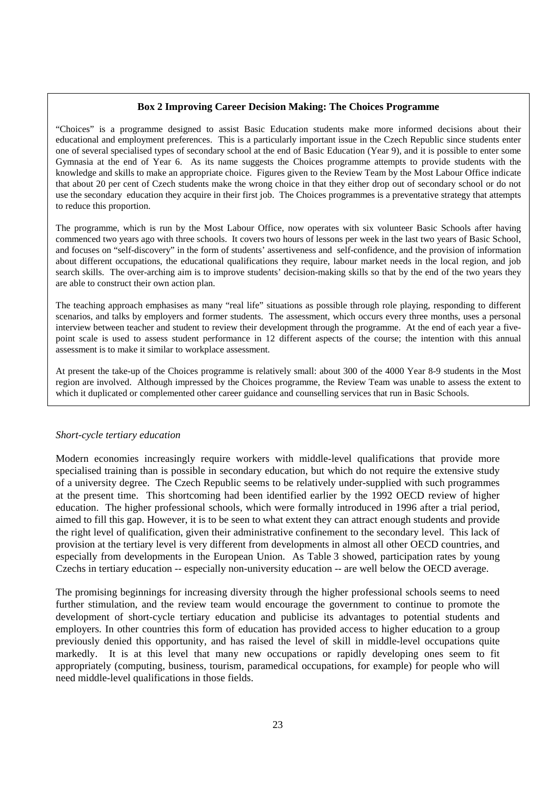#### **Box 2 Improving Career Decision Making: The Choices Programme**

"Choices" is a programme designed to assist Basic Education students make more informed decisions about their educational and employment preferences. This is a particularly important issue in the Czech Republic since students enter one of several specialised types of secondary school at the end of Basic Education (Year 9), and it is possible to enter some Gymnasia at the end of Year 6. As its name suggests the Choices programme attempts to provide students with the knowledge and skills to make an appropriate choice. Figures given to the Review Team by the Most Labour Office indicate that about 20 per cent of Czech students make the wrong choice in that they either drop out of secondary school or do not use the secondary education they acquire in their first job. The Choices programmes is a preventative strategy that attempts to reduce this proportion.

The programme, which is run by the Most Labour Office, now operates with six volunteer Basic Schools after having commenced two years ago with three schools. It covers two hours of lessons per week in the last two years of Basic School, and focuses on "self-discovery" in the form of students' assertiveness and self-confidence, and the provision of information about different occupations, the educational qualifications they require, labour market needs in the local region, and job search skills. The over-arching aim is to improve students' decision-making skills so that by the end of the two years they are able to construct their own action plan.

The teaching approach emphasises as many "real life" situations as possible through role playing, responding to different scenarios, and talks by employers and former students. The assessment, which occurs every three months, uses a personal interview between teacher and student to review their development through the programme. At the end of each year a fivepoint scale is used to assess student performance in 12 different aspects of the course; the intention with this annual assessment is to make it similar to workplace assessment.

At present the take-up of the Choices programme is relatively small: about 300 of the 4000 Year 8-9 students in the Most region are involved. Although impressed by the Choices programme, the Review Team was unable to assess the extent to which it duplicated or complemented other career guidance and counselling services that run in Basic Schools.

#### *Short-cycle tertiary education*

Modern economies increasingly require workers with middle-level qualifications that provide more specialised training than is possible in secondary education, but which do not require the extensive study of a university degree. The Czech Republic seems to be relatively under-supplied with such programmes at the present time. This shortcoming had been identified earlier by the 1992 OECD review of higher education. The higher professional schools, which were formally introduced in 1996 after a trial period, aimed to fill this gap. However, it is to be seen to what extent they can attract enough students and provide the right level of qualification, given their administrative confinement to the secondary level. This lack of provision at the tertiary level is very different from developments in almost all other OECD countries, and especially from developments in the European Union. As Table 3 showed, participation rates by young Czechs in tertiary education -- especially non-university education -- are well below the OECD average.

The promising beginnings for increasing diversity through the higher professional schools seems to need further stimulation, and the review team would encourage the government to continue to promote the development of short-cycle tertiary education and publicise its advantages to potential students and employers. In other countries this form of education has provided access to higher education to a group previously denied this opportunity, and has raised the level of skill in middle-level occupations quite markedly. It is at this level that many new occupations or rapidly developing ones seem to fit appropriately (computing, business, tourism, paramedical occupations, for example) for people who will need middle-level qualifications in those fields.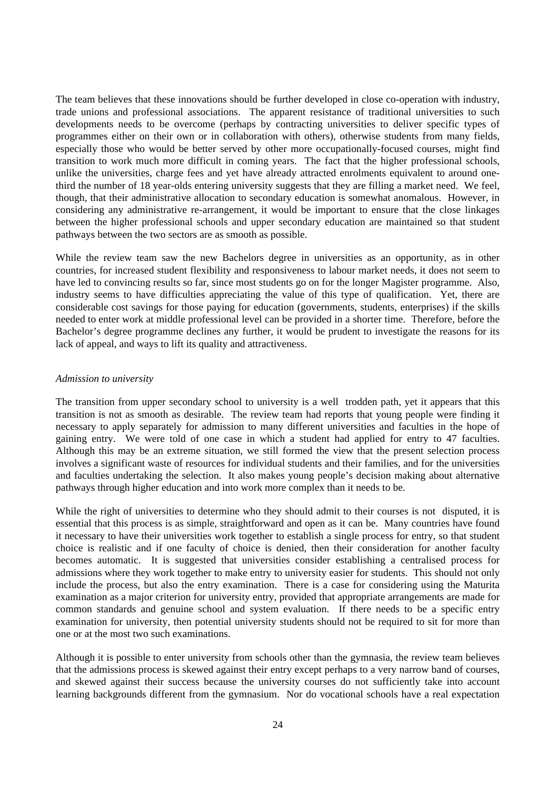The team believes that these innovations should be further developed in close co-operation with industry, trade unions and professional associations. The apparent resistance of traditional universities to such developments needs to be overcome (perhaps by contracting universities to deliver specific types of programmes either on their own or in collaboration with others), otherwise students from many fields, especially those who would be better served by other more occupationally-focused courses, might find transition to work much more difficult in coming years. The fact that the higher professional schools, unlike the universities, charge fees and yet have already attracted enrolments equivalent to around onethird the number of 18 year-olds entering university suggests that they are filling a market need. We feel, though, that their administrative allocation to secondary education is somewhat anomalous. However, in considering any administrative re-arrangement, it would be important to ensure that the close linkages between the higher professional schools and upper secondary education are maintained so that student pathways between the two sectors are as smooth as possible.

While the review team saw the new Bachelors degree in universities as an opportunity, as in other countries, for increased student flexibility and responsiveness to labour market needs, it does not seem to have led to convincing results so far, since most students go on for the longer Magister programme. Also, industry seems to have difficulties appreciating the value of this type of qualification. Yet, there are considerable cost savings for those paying for education (governments, students, enterprises) if the skills needed to enter work at middle professional level can be provided in a shorter time. Therefore, before the Bachelor's degree programme declines any further, it would be prudent to investigate the reasons for its lack of appeal, and ways to lift its quality and attractiveness.

#### *Admission to university*

The transition from upper secondary school to university is a well trodden path, yet it appears that this transition is not as smooth as desirable. The review team had reports that young people were finding it necessary to apply separately for admission to many different universities and faculties in the hope of gaining entry. We were told of one case in which a student had applied for entry to 47 faculties. Although this may be an extreme situation, we still formed the view that the present selection process involves a significant waste of resources for individual students and their families, and for the universities and faculties undertaking the selection. It also makes young people's decision making about alternative pathways through higher education and into work more complex than it needs to be.

While the right of universities to determine who they should admit to their courses is not disputed, it is essential that this process is as simple, straightforward and open as it can be. Many countries have found it necessary to have their universities work together to establish a single process for entry, so that student choice is realistic and if one faculty of choice is denied, then their consideration for another faculty becomes automatic. It is suggested that universities consider establishing a centralised process for admissions where they work together to make entry to university easier for students. This should not only include the process, but also the entry examination. There is a case for considering using the Maturita examination as a major criterion for university entry, provided that appropriate arrangements are made for common standards and genuine school and system evaluation. If there needs to be a specific entry examination for university, then potential university students should not be required to sit for more than one or at the most two such examinations.

Although it is possible to enter university from schools other than the gymnasia, the review team believes that the admissions process is skewed against their entry except perhaps to a very narrow band of courses, and skewed against their success because the university courses do not sufficiently take into account learning backgrounds different from the gymnasium. Nor do vocational schools have a real expectation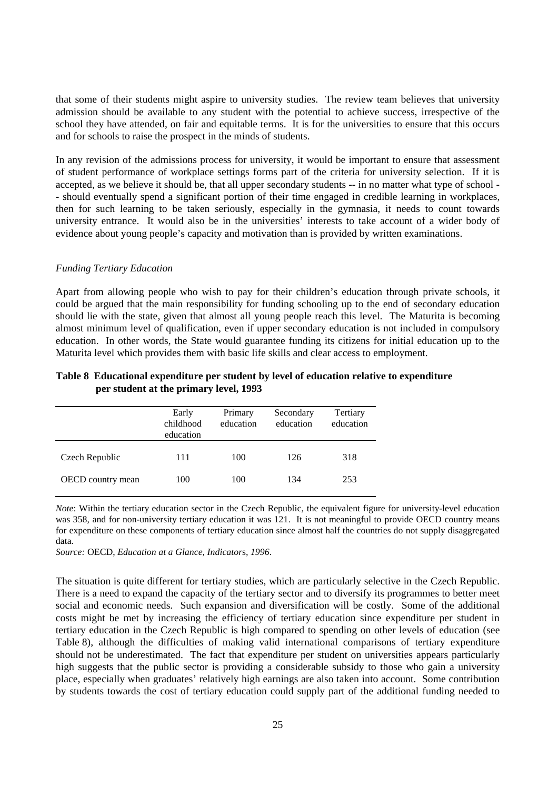that some of their students might aspire to university studies. The review team believes that university admission should be available to any student with the potential to achieve success, irrespective of the school they have attended, on fair and equitable terms. It is for the universities to ensure that this occurs and for schools to raise the prospect in the minds of students.

In any revision of the admissions process for university, it would be important to ensure that assessment of student performance of workplace settings forms part of the criteria for university selection. If it is accepted, as we believe it should be, that all upper secondary students -- in no matter what type of school - - should eventually spend a significant portion of their time engaged in credible learning in workplaces, then for such learning to be taken seriously, especially in the gymnasia, it needs to count towards university entrance. It would also be in the universities' interests to take account of a wider body of evidence about young people's capacity and motivation than is provided by written examinations.

#### *Funding Tertiary Education*

Apart from allowing people who wish to pay for their children's education through private schools, it could be argued that the main responsibility for funding schooling up to the end of secondary education should lie with the state, given that almost all young people reach this level. The Maturita is becoming almost minimum level of qualification, even if upper secondary education is not included in compulsory education. In other words, the State would guarantee funding its citizens for initial education up to the Maturita level which provides them with basic life skills and clear access to employment.

|                          | Early<br>childhood<br>education | Primary<br>education | Secondary<br>education | Tertiary<br>education |
|--------------------------|---------------------------------|----------------------|------------------------|-----------------------|
| Czech Republic           | 111                             | 100                  | 126                    | 318                   |
| <b>OECD</b> country mean | 100                             | 100                  | 134                    | 253                   |

#### **Table 8 Educational expenditure per student by level of education relative to expenditure per student at the primary level, 1993**

*Note*: Within the tertiary education sector in the Czech Republic, the equivalent figure for university-level education was 358, and for non-university tertiary education it was 121. It is not meaningful to provide OECD country means for expenditure on these components of tertiary education since almost half the countries do not supply disaggregated data.

*Source:* OECD, *Education at a Glance, Indicator*s*, 1996*.

The situation is quite different for tertiary studies, which are particularly selective in the Czech Republic. There is a need to expand the capacity of the tertiary sector and to diversify its programmes to better meet social and economic needs. Such expansion and diversification will be costly. Some of the additional costs might be met by increasing the efficiency of tertiary education since expenditure per student in tertiary education in the Czech Republic is high compared to spending on other levels of education (see Table 8), although the difficulties of making valid international comparisons of tertiary expenditure should not be underestimated. The fact that expenditure per student on universities appears particularly high suggests that the public sector is providing a considerable subsidy to those who gain a university place, especially when graduates' relatively high earnings are also taken into account. Some contribution by students towards the cost of tertiary education could supply part of the additional funding needed to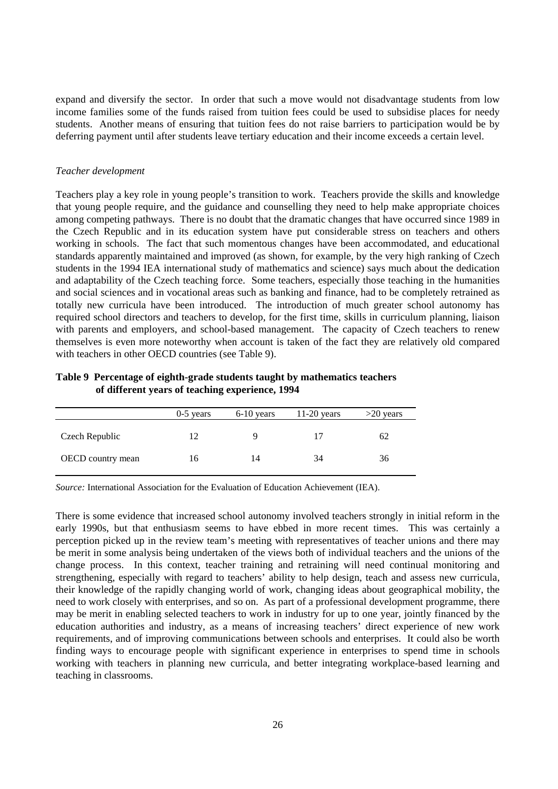expand and diversify the sector. In order that such a move would not disadvantage students from low income families some of the funds raised from tuition fees could be used to subsidise places for needy students. Another means of ensuring that tuition fees do not raise barriers to participation would be by deferring payment until after students leave tertiary education and their income exceeds a certain level.

#### *Teacher development*

Teachers play a key role in young people's transition to work. Teachers provide the skills and knowledge that young people require, and the guidance and counselling they need to help make appropriate choices among competing pathways. There is no doubt that the dramatic changes that have occurred since 1989 in the Czech Republic and in its education system have put considerable stress on teachers and others working in schools. The fact that such momentous changes have been accommodated, and educational standards apparently maintained and improved (as shown, for example, by the very high ranking of Czech students in the 1994 IEA international study of mathematics and science) says much about the dedication and adaptability of the Czech teaching force. Some teachers, especially those teaching in the humanities and social sciences and in vocational areas such as banking and finance, had to be completely retrained as totally new curricula have been introduced. The introduction of much greater school autonomy has required school directors and teachers to develop, for the first time, skills in curriculum planning, liaison with parents and employers, and school-based management. The capacity of Czech teachers to renew themselves is even more noteworthy when account is taken of the fact they are relatively old compared with teachers in other OECD countries (see Table 9).

| Table 9 Percentage of eighth-grade students taught by mathematics teachers |
|----------------------------------------------------------------------------|
| of different years of teaching experience, 1994                            |

|                          | $0-5$ years | $6-10$ years | $11-20$ years | $>20$ years |
|--------------------------|-------------|--------------|---------------|-------------|
| Czech Republic           | 12          |              | 17            | 62          |
| <b>OECD</b> country mean | 16          | 14           | 34            | 36          |

*Source:* International Association for the Evaluation of Education Achievement (IEA).

There is some evidence that increased school autonomy involved teachers strongly in initial reform in the early 1990s, but that enthusiasm seems to have ebbed in more recent times. This was certainly a perception picked up in the review team's meeting with representatives of teacher unions and there may be merit in some analysis being undertaken of the views both of individual teachers and the unions of the change process. In this context, teacher training and retraining will need continual monitoring and strengthening, especially with regard to teachers' ability to help design, teach and assess new curricula, their knowledge of the rapidly changing world of work, changing ideas about geographical mobility, the need to work closely with enterprises, and so on. As part of a professional development programme, there may be merit in enabling selected teachers to work in industry for up to one year, jointly financed by the education authorities and industry, as a means of increasing teachers' direct experience of new work requirements, and of improving communications between schools and enterprises. It could also be worth finding ways to encourage people with significant experience in enterprises to spend time in schools working with teachers in planning new curricula, and better integrating workplace-based learning and teaching in classrooms.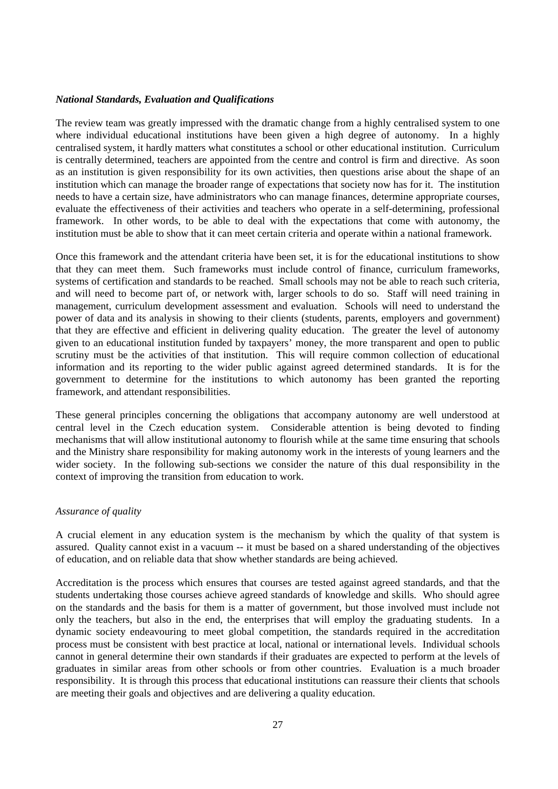#### *National Standards, Evaluation and Qualifications*

The review team was greatly impressed with the dramatic change from a highly centralised system to one where individual educational institutions have been given a high degree of autonomy. In a highly centralised system, it hardly matters what constitutes a school or other educational institution. Curriculum is centrally determined, teachers are appointed from the centre and control is firm and directive. As soon as an institution is given responsibility for its own activities, then questions arise about the shape of an institution which can manage the broader range of expectations that society now has for it. The institution needs to have a certain size, have administrators who can manage finances, determine appropriate courses, evaluate the effectiveness of their activities and teachers who operate in a self-determining, professional framework. In other words, to be able to deal with the expectations that come with autonomy, the institution must be able to show that it can meet certain criteria and operate within a national framework.

Once this framework and the attendant criteria have been set, it is for the educational institutions to show that they can meet them. Such frameworks must include control of finance, curriculum frameworks, systems of certification and standards to be reached. Small schools may not be able to reach such criteria, and will need to become part of, or network with, larger schools to do so. Staff will need training in management, curriculum development assessment and evaluation. Schools will need to understand the power of data and its analysis in showing to their clients (students, parents, employers and government) that they are effective and efficient in delivering quality education. The greater the level of autonomy given to an educational institution funded by taxpayers' money, the more transparent and open to public scrutiny must be the activities of that institution. This will require common collection of educational information and its reporting to the wider public against agreed determined standards. It is for the government to determine for the institutions to which autonomy has been granted the reporting framework, and attendant responsibilities.

These general principles concerning the obligations that accompany autonomy are well understood at central level in the Czech education system. Considerable attention is being devoted to finding mechanisms that will allow institutional autonomy to flourish while at the same time ensuring that schools and the Ministry share responsibility for making autonomy work in the interests of young learners and the wider society. In the following sub-sections we consider the nature of this dual responsibility in the context of improving the transition from education to work.

#### *Assurance of quality*

A crucial element in any education system is the mechanism by which the quality of that system is assured. Quality cannot exist in a vacuum -- it must be based on a shared understanding of the objectives of education, and on reliable data that show whether standards are being achieved.

Accreditation is the process which ensures that courses are tested against agreed standards, and that the students undertaking those courses achieve agreed standards of knowledge and skills. Who should agree on the standards and the basis for them is a matter of government, but those involved must include not only the teachers, but also in the end, the enterprises that will employ the graduating students. In a dynamic society endeavouring to meet global competition, the standards required in the accreditation process must be consistent with best practice at local, national or international levels. Individual schools cannot in general determine their own standards if their graduates are expected to perform at the levels of graduates in similar areas from other schools or from other countries. Evaluation is a much broader responsibility. It is through this process that educational institutions can reassure their clients that schools are meeting their goals and objectives and are delivering a quality education.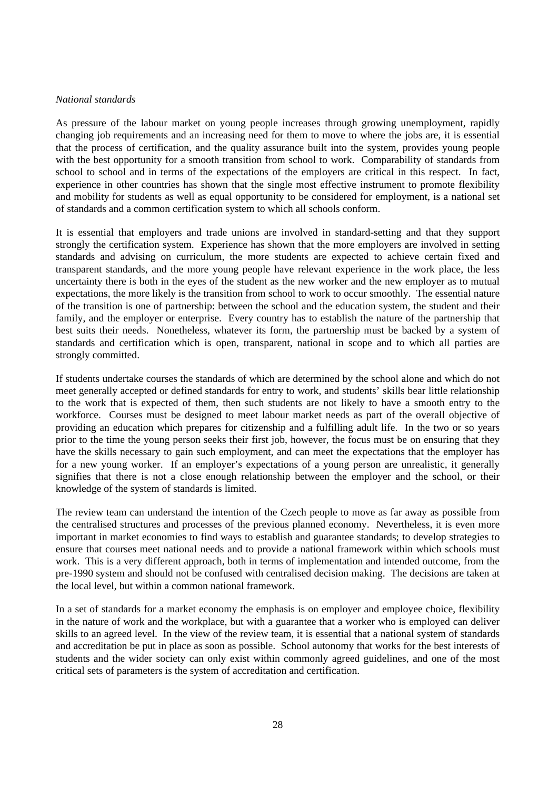#### *National standards*

As pressure of the labour market on young people increases through growing unemployment, rapidly changing job requirements and an increasing need for them to move to where the jobs are, it is essential that the process of certification, and the quality assurance built into the system, provides young people with the best opportunity for a smooth transition from school to work. Comparability of standards from school to school and in terms of the expectations of the employers are critical in this respect. In fact, experience in other countries has shown that the single most effective instrument to promote flexibility and mobility for students as well as equal opportunity to be considered for employment, is a national set of standards and a common certification system to which all schools conform.

It is essential that employers and trade unions are involved in standard-setting and that they support strongly the certification system. Experience has shown that the more employers are involved in setting standards and advising on curriculum, the more students are expected to achieve certain fixed and transparent standards, and the more young people have relevant experience in the work place, the less uncertainty there is both in the eyes of the student as the new worker and the new employer as to mutual expectations, the more likely is the transition from school to work to occur smoothly. The essential nature of the transition is one of partnership: between the school and the education system, the student and their family, and the employer or enterprise. Every country has to establish the nature of the partnership that best suits their needs. Nonetheless, whatever its form, the partnership must be backed by a system of standards and certification which is open, transparent, national in scope and to which all parties are strongly committed.

If students undertake courses the standards of which are determined by the school alone and which do not meet generally accepted or defined standards for entry to work, and students' skills bear little relationship to the work that is expected of them, then such students are not likely to have a smooth entry to the workforce. Courses must be designed to meet labour market needs as part of the overall objective of providing an education which prepares for citizenship and a fulfilling adult life. In the two or so years prior to the time the young person seeks their first job, however, the focus must be on ensuring that they have the skills necessary to gain such employment, and can meet the expectations that the employer has for a new young worker. If an employer's expectations of a young person are unrealistic, it generally signifies that there is not a close enough relationship between the employer and the school, or their knowledge of the system of standards is limited.

The review team can understand the intention of the Czech people to move as far away as possible from the centralised structures and processes of the previous planned economy. Nevertheless, it is even more important in market economies to find ways to establish and guarantee standards; to develop strategies to ensure that courses meet national needs and to provide a national framework within which schools must work. This is a very different approach, both in terms of implementation and intended outcome, from the pre-1990 system and should not be confused with centralised decision making. The decisions are taken at the local level, but within a common national framework.

In a set of standards for a market economy the emphasis is on employer and employee choice, flexibility in the nature of work and the workplace, but with a guarantee that a worker who is employed can deliver skills to an agreed level. In the view of the review team, it is essential that a national system of standards and accreditation be put in place as soon as possible. School autonomy that works for the best interests of students and the wider society can only exist within commonly agreed guidelines, and one of the most critical sets of parameters is the system of accreditation and certification.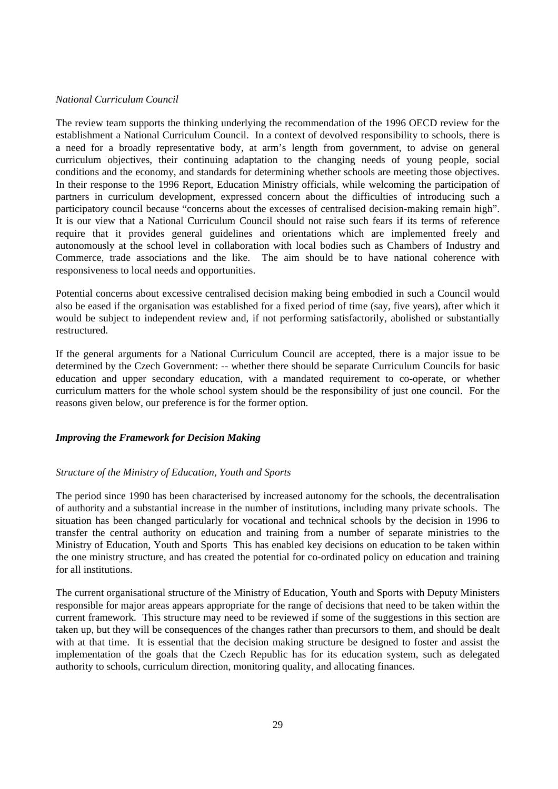#### *National Curriculum Council*

The review team supports the thinking underlying the recommendation of the 1996 OECD review for the establishment a National Curriculum Council. In a context of devolved responsibility to schools, there is a need for a broadly representative body, at arm's length from government, to advise on general curriculum objectives, their continuing adaptation to the changing needs of young people, social conditions and the economy, and standards for determining whether schools are meeting those objectives. In their response to the 1996 Report, Education Ministry officials, while welcoming the participation of partners in curriculum development, expressed concern about the difficulties of introducing such a participatory council because "concerns about the excesses of centralised decision-making remain high". It is our view that a National Curriculum Council should not raise such fears if its terms of reference require that it provides general guidelines and orientations which are implemented freely and autonomously at the school level in collaboration with local bodies such as Chambers of Industry and Commerce, trade associations and the like. The aim should be to have national coherence with responsiveness to local needs and opportunities.

Potential concerns about excessive centralised decision making being embodied in such a Council would also be eased if the organisation was established for a fixed period of time (say, five years), after which it would be subject to independent review and, if not performing satisfactorily, abolished or substantially restructured.

If the general arguments for a National Curriculum Council are accepted, there is a major issue to be determined by the Czech Government: -- whether there should be separate Curriculum Councils for basic education and upper secondary education, with a mandated requirement to co-operate, or whether curriculum matters for the whole school system should be the responsibility of just one council. For the reasons given below, our preference is for the former option.

# *Improving the Framework for Decision Making*

#### *Structure of the Ministry of Education, Youth and Sports*

The period since 1990 has been characterised by increased autonomy for the schools, the decentralisation of authority and a substantial increase in the number of institutions, including many private schools. The situation has been changed particularly for vocational and technical schools by the decision in 1996 to transfer the central authority on education and training from a number of separate ministries to the Ministry of Education, Youth and Sports This has enabled key decisions on education to be taken within the one ministry structure, and has created the potential for co-ordinated policy on education and training for all institutions.

The current organisational structure of the Ministry of Education, Youth and Sports with Deputy Ministers responsible for major areas appears appropriate for the range of decisions that need to be taken within the current framework. This structure may need to be reviewed if some of the suggestions in this section are taken up, but they will be consequences of the changes rather than precursors to them, and should be dealt with at that time. It is essential that the decision making structure be designed to foster and assist the implementation of the goals that the Czech Republic has for its education system, such as delegated authority to schools, curriculum direction, monitoring quality, and allocating finances.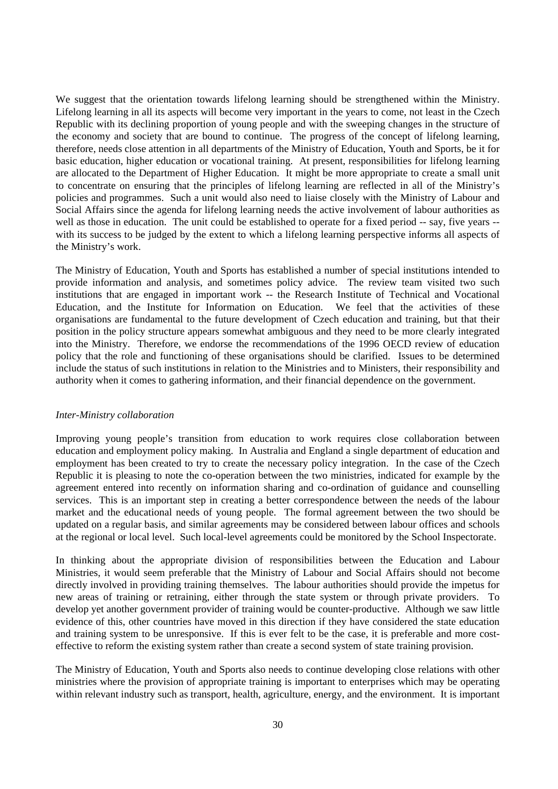We suggest that the orientation towards lifelong learning should be strengthened within the Ministry. Lifelong learning in all its aspects will become very important in the years to come, not least in the Czech Republic with its declining proportion of young people and with the sweeping changes in the structure of the economy and society that are bound to continue. The progress of the concept of lifelong learning, therefore, needs close attention in all departments of the Ministry of Education, Youth and Sports, be it for basic education, higher education or vocational training. At present, responsibilities for lifelong learning are allocated to the Department of Higher Education. It might be more appropriate to create a small unit to concentrate on ensuring that the principles of lifelong learning are reflected in all of the Ministry's policies and programmes. Such a unit would also need to liaise closely with the Ministry of Labour and Social Affairs since the agenda for lifelong learning needs the active involvement of labour authorities as well as those in education. The unit could be established to operate for a fixed period -- say, five years -with its success to be judged by the extent to which a lifelong learning perspective informs all aspects of the Ministry's work.

The Ministry of Education, Youth and Sports has established a number of special institutions intended to provide information and analysis, and sometimes policy advice. The review team visited two such institutions that are engaged in important work -- the Research Institute of Technical and Vocational Education, and the Institute for Information on Education. We feel that the activities of these organisations are fundamental to the future development of Czech education and training, but that their position in the policy structure appears somewhat ambiguous and they need to be more clearly integrated into the Ministry. Therefore, we endorse the recommendations of the 1996 OECD review of education policy that the role and functioning of these organisations should be clarified. Issues to be determined include the status of such institutions in relation to the Ministries and to Ministers, their responsibility and authority when it comes to gathering information, and their financial dependence on the government.

#### *Inter-Ministry collaboration*

Improving young people's transition from education to work requires close collaboration between education and employment policy making. In Australia and England a single department of education and employment has been created to try to create the necessary policy integration. In the case of the Czech Republic it is pleasing to note the co-operation between the two ministries, indicated for example by the agreement entered into recently on information sharing and co-ordination of guidance and counselling services. This is an important step in creating a better correspondence between the needs of the labour market and the educational needs of young people. The formal agreement between the two should be updated on a regular basis, and similar agreements may be considered between labour offices and schools at the regional or local level. Such local-level agreements could be monitored by the School Inspectorate.

In thinking about the appropriate division of responsibilities between the Education and Labour Ministries, it would seem preferable that the Ministry of Labour and Social Affairs should not become directly involved in providing training themselves. The labour authorities should provide the impetus for new areas of training or retraining, either through the state system or through private providers. To develop yet another government provider of training would be counter-productive. Although we saw little evidence of this, other countries have moved in this direction if they have considered the state education and training system to be unresponsive. If this is ever felt to be the case, it is preferable and more costeffective to reform the existing system rather than create a second system of state training provision.

The Ministry of Education, Youth and Sports also needs to continue developing close relations with other ministries where the provision of appropriate training is important to enterprises which may be operating within relevant industry such as transport, health, agriculture, energy, and the environment. It is important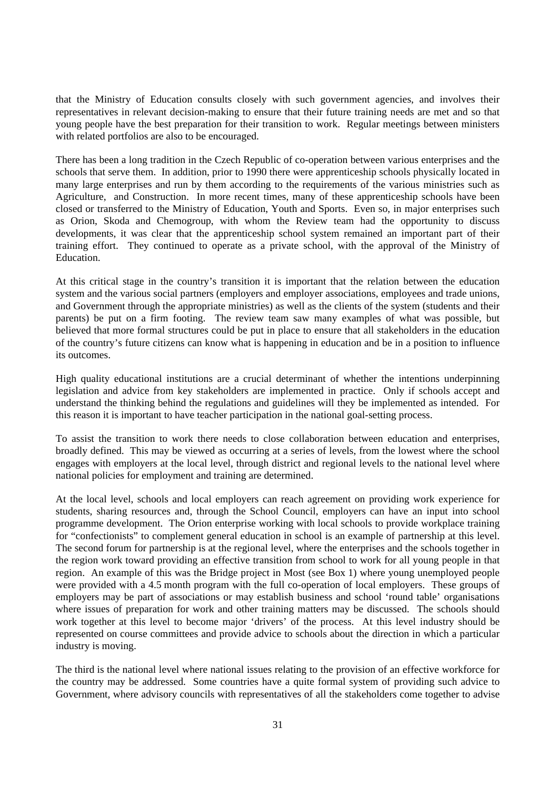that the Ministry of Education consults closely with such government agencies, and involves their representatives in relevant decision-making to ensure that their future training needs are met and so that young people have the best preparation for their transition to work. Regular meetings between ministers with related portfolios are also to be encouraged.

There has been a long tradition in the Czech Republic of co-operation between various enterprises and the schools that serve them. In addition, prior to 1990 there were apprenticeship schools physically located in many large enterprises and run by them according to the requirements of the various ministries such as Agriculture, and Construction. In more recent times, many of these apprenticeship schools have been closed or transferred to the Ministry of Education, Youth and Sports. Even so, in major enterprises such as Orion, Skoda and Chemogroup, with whom the Review team had the opportunity to discuss developments, it was clear that the apprenticeship school system remained an important part of their training effort. They continued to operate as a private school, with the approval of the Ministry of Education.

At this critical stage in the country's transition it is important that the relation between the education system and the various social partners (employers and employer associations, employees and trade unions, and Government through the appropriate ministries) as well as the clients of the system (students and their parents) be put on a firm footing. The review team saw many examples of what was possible, but believed that more formal structures could be put in place to ensure that all stakeholders in the education of the country's future citizens can know what is happening in education and be in a position to influence its outcomes.

High quality educational institutions are a crucial determinant of whether the intentions underpinning legislation and advice from key stakeholders are implemented in practice. Only if schools accept and understand the thinking behind the regulations and guidelines will they be implemented as intended. For this reason it is important to have teacher participation in the national goal-setting process.

To assist the transition to work there needs to close collaboration between education and enterprises, broadly defined. This may be viewed as occurring at a series of levels, from the lowest where the school engages with employers at the local level, through district and regional levels to the national level where national policies for employment and training are determined.

At the local level, schools and local employers can reach agreement on providing work experience for students, sharing resources and, through the School Council, employers can have an input into school programme development. The Orion enterprise working with local schools to provide workplace training for "confectionists" to complement general education in school is an example of partnership at this level. The second forum for partnership is at the regional level, where the enterprises and the schools together in the region work toward providing an effective transition from school to work for all young people in that region. An example of this was the Bridge project in Most (see Box 1) where young unemployed people were provided with a 4.5 month program with the full co-operation of local employers. These groups of employers may be part of associations or may establish business and school 'round table' organisations where issues of preparation for work and other training matters may be discussed. The schools should work together at this level to become major 'drivers' of the process. At this level industry should be represented on course committees and provide advice to schools about the direction in which a particular industry is moving.

The third is the national level where national issues relating to the provision of an effective workforce for the country may be addressed. Some countries have a quite formal system of providing such advice to Government, where advisory councils with representatives of all the stakeholders come together to advise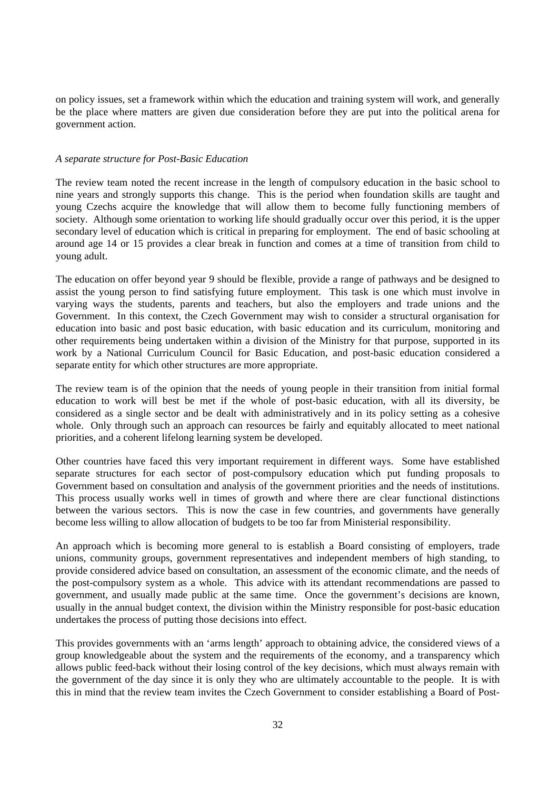on policy issues, set a framework within which the education and training system will work, and generally be the place where matters are given due consideration before they are put into the political arena for government action.

#### *A separate structure for Post-Basic Education*

The review team noted the recent increase in the length of compulsory education in the basic school to nine years and strongly supports this change. This is the period when foundation skills are taught and young Czechs acquire the knowledge that will allow them to become fully functioning members of society. Although some orientation to working life should gradually occur over this period, it is the upper secondary level of education which is critical in preparing for employment. The end of basic schooling at around age 14 or 15 provides a clear break in function and comes at a time of transition from child to young adult.

The education on offer beyond year 9 should be flexible, provide a range of pathways and be designed to assist the young person to find satisfying future employment. This task is one which must involve in varying ways the students, parents and teachers, but also the employers and trade unions and the Government. In this context, the Czech Government may wish to consider a structural organisation for education into basic and post basic education, with basic education and its curriculum, monitoring and other requirements being undertaken within a division of the Ministry for that purpose, supported in its work by a National Curriculum Council for Basic Education, and post-basic education considered a separate entity for which other structures are more appropriate.

The review team is of the opinion that the needs of young people in their transition from initial formal education to work will best be met if the whole of post-basic education, with all its diversity, be considered as a single sector and be dealt with administratively and in its policy setting as a cohesive whole. Only through such an approach can resources be fairly and equitably allocated to meet national priorities, and a coherent lifelong learning system be developed.

Other countries have faced this very important requirement in different ways. Some have established separate structures for each sector of post-compulsory education which put funding proposals to Government based on consultation and analysis of the government priorities and the needs of institutions. This process usually works well in times of growth and where there are clear functional distinctions between the various sectors. This is now the case in few countries, and governments have generally become less willing to allow allocation of budgets to be too far from Ministerial responsibility.

An approach which is becoming more general to is establish a Board consisting of employers, trade unions, community groups, government representatives and independent members of high standing, to provide considered advice based on consultation, an assessment of the economic climate, and the needs of the post-compulsory system as a whole. This advice with its attendant recommendations are passed to government, and usually made public at the same time. Once the government's decisions are known, usually in the annual budget context, the division within the Ministry responsible for post-basic education undertakes the process of putting those decisions into effect.

This provides governments with an 'arms length' approach to obtaining advice, the considered views of a group knowledgeable about the system and the requirements of the economy, and a transparency which allows public feed-back without their losing control of the key decisions, which must always remain with the government of the day since it is only they who are ultimately accountable to the people. It is with this in mind that the review team invites the Czech Government to consider establishing a Board of Post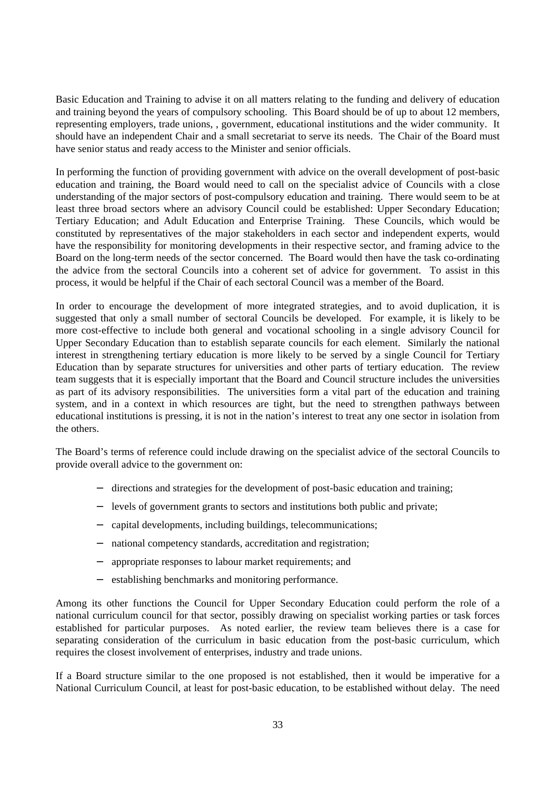Basic Education and Training to advise it on all matters relating to the funding and delivery of education and training beyond the years of compulsory schooling. This Board should be of up to about 12 members, representing employers, trade unions, , government, educational institutions and the wider community. It should have an independent Chair and a small secretariat to serve its needs. The Chair of the Board must have senior status and ready access to the Minister and senior officials.

In performing the function of providing government with advice on the overall development of post-basic education and training, the Board would need to call on the specialist advice of Councils with a close understanding of the major sectors of post-compulsory education and training. There would seem to be at least three broad sectors where an advisory Council could be established: Upper Secondary Education; Tertiary Education; and Adult Education and Enterprise Training. These Councils, which would be constituted by representatives of the major stakeholders in each sector and independent experts, would have the responsibility for monitoring developments in their respective sector, and framing advice to the Board on the long-term needs of the sector concerned. The Board would then have the task co-ordinating the advice from the sectoral Councils into a coherent set of advice for government. To assist in this process, it would be helpful if the Chair of each sectoral Council was a member of the Board.

In order to encourage the development of more integrated strategies, and to avoid duplication, it is suggested that only a small number of sectoral Councils be developed. For example, it is likely to be more cost-effective to include both general and vocational schooling in a single advisory Council for Upper Secondary Education than to establish separate councils for each element. Similarly the national interest in strengthening tertiary education is more likely to be served by a single Council for Tertiary Education than by separate structures for universities and other parts of tertiary education. The review team suggests that it is especially important that the Board and Council structure includes the universities as part of its advisory responsibilities. The universities form a vital part of the education and training system, and in a context in which resources are tight, but the need to strengthen pathways between educational institutions is pressing, it is not in the nation's interest to treat any one sector in isolation from the others.

The Board's terms of reference could include drawing on the specialist advice of the sectoral Councils to provide overall advice to the government on:

- directions and strategies for the development of post-basic education and training;
- − levels of government grants to sectors and institutions both public and private;
- − capital developments, including buildings, telecommunications;
- national competency standards, accreditation and registration;
- appropriate responses to labour market requirements; and
- establishing benchmarks and monitoring performance.

Among its other functions the Council for Upper Secondary Education could perform the role of a national curriculum council for that sector, possibly drawing on specialist working parties or task forces established for particular purposes. As noted earlier, the review team believes there is a case for separating consideration of the curriculum in basic education from the post-basic curriculum, which requires the closest involvement of enterprises, industry and trade unions.

If a Board structure similar to the one proposed is not established, then it would be imperative for a National Curriculum Council, at least for post-basic education, to be established without delay. The need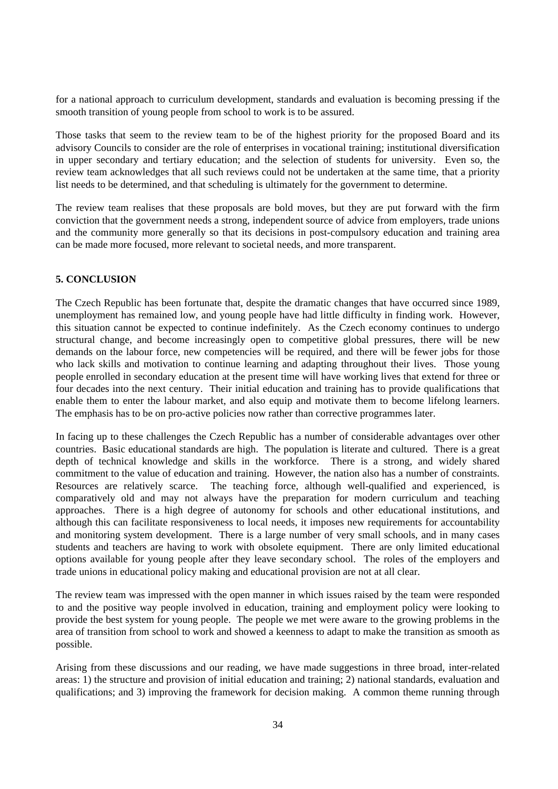for a national approach to curriculum development, standards and evaluation is becoming pressing if the smooth transition of young people from school to work is to be assured.

Those tasks that seem to the review team to be of the highest priority for the proposed Board and its advisory Councils to consider are the role of enterprises in vocational training; institutional diversification in upper secondary and tertiary education; and the selection of students for university. Even so, the review team acknowledges that all such reviews could not be undertaken at the same time, that a priority list needs to be determined, and that scheduling is ultimately for the government to determine.

The review team realises that these proposals are bold moves, but they are put forward with the firm conviction that the government needs a strong, independent source of advice from employers, trade unions and the community more generally so that its decisions in post-compulsory education and training area can be made more focused, more relevant to societal needs, and more transparent.

# **5. CONCLUSION**

The Czech Republic has been fortunate that, despite the dramatic changes that have occurred since 1989, unemployment has remained low, and young people have had little difficulty in finding work. However, this situation cannot be expected to continue indefinitely. As the Czech economy continues to undergo structural change, and become increasingly open to competitive global pressures, there will be new demands on the labour force, new competencies will be required, and there will be fewer jobs for those who lack skills and motivation to continue learning and adapting throughout their lives. Those young people enrolled in secondary education at the present time will have working lives that extend for three or four decades into the next century. Their initial education and training has to provide qualifications that enable them to enter the labour market, and also equip and motivate them to become lifelong learners. The emphasis has to be on pro-active policies now rather than corrective programmes later.

In facing up to these challenges the Czech Republic has a number of considerable advantages over other countries. Basic educational standards are high. The population is literate and cultured. There is a great depth of technical knowledge and skills in the workforce. There is a strong, and widely shared commitment to the value of education and training. However, the nation also has a number of constraints. Resources are relatively scarce. The teaching force, although well-qualified and experienced, is comparatively old and may not always have the preparation for modern curriculum and teaching approaches. There is a high degree of autonomy for schools and other educational institutions, and although this can facilitate responsiveness to local needs, it imposes new requirements for accountability and monitoring system development. There is a large number of very small schools, and in many cases students and teachers are having to work with obsolete equipment. There are only limited educational options available for young people after they leave secondary school. The roles of the employers and trade unions in educational policy making and educational provision are not at all clear.

The review team was impressed with the open manner in which issues raised by the team were responded to and the positive way people involved in education, training and employment policy were looking to provide the best system for young people. The people we met were aware to the growing problems in the area of transition from school to work and showed a keenness to adapt to make the transition as smooth as possible.

Arising from these discussions and our reading, we have made suggestions in three broad, inter-related areas: 1) the structure and provision of initial education and training; 2) national standards, evaluation and qualifications; and 3) improving the framework for decision making. A common theme running through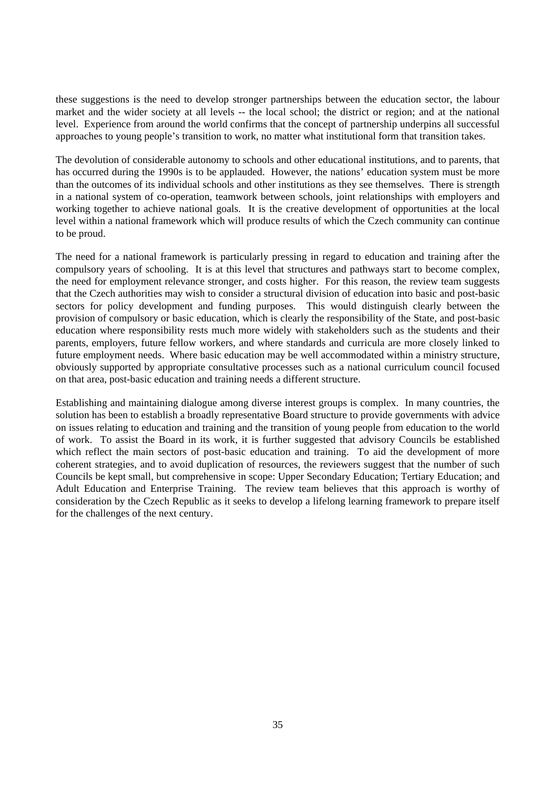these suggestions is the need to develop stronger partnerships between the education sector, the labour market and the wider society at all levels -- the local school; the district or region; and at the national level. Experience from around the world confirms that the concept of partnership underpins all successful approaches to young people's transition to work, no matter what institutional form that transition takes.

The devolution of considerable autonomy to schools and other educational institutions, and to parents, that has occurred during the 1990s is to be applauded. However, the nations' education system must be more than the outcomes of its individual schools and other institutions as they see themselves. There is strength in a national system of co-operation, teamwork between schools, joint relationships with employers and working together to achieve national goals. It is the creative development of opportunities at the local level within a national framework which will produce results of which the Czech community can continue to be proud.

The need for a national framework is particularly pressing in regard to education and training after the compulsory years of schooling. It is at this level that structures and pathways start to become complex, the need for employment relevance stronger, and costs higher. For this reason, the review team suggests that the Czech authorities may wish to consider a structural division of education into basic and post-basic sectors for policy development and funding purposes. This would distinguish clearly between the provision of compulsory or basic education, which is clearly the responsibility of the State, and post-basic education where responsibility rests much more widely with stakeholders such as the students and their parents, employers, future fellow workers, and where standards and curricula are more closely linked to future employment needs. Where basic education may be well accommodated within a ministry structure, obviously supported by appropriate consultative processes such as a national curriculum council focused on that area, post-basic education and training needs a different structure.

Establishing and maintaining dialogue among diverse interest groups is complex. In many countries, the solution has been to establish a broadly representative Board structure to provide governments with advice on issues relating to education and training and the transition of young people from education to the world of work. To assist the Board in its work, it is further suggested that advisory Councils be established which reflect the main sectors of post-basic education and training. To aid the development of more coherent strategies, and to avoid duplication of resources, the reviewers suggest that the number of such Councils be kept small, but comprehensive in scope: Upper Secondary Education; Tertiary Education; and Adult Education and Enterprise Training. The review team believes that this approach is worthy of consideration by the Czech Republic as it seeks to develop a lifelong learning framework to prepare itself for the challenges of the next century.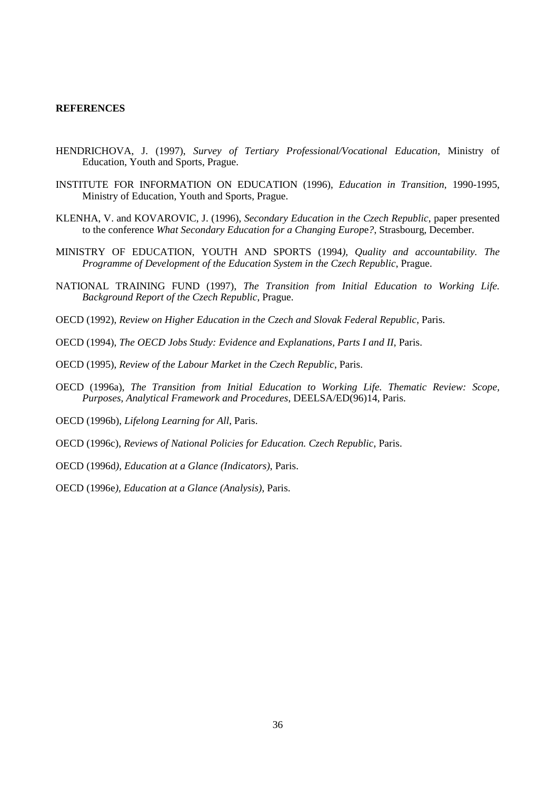#### **REFERENCES**

- HENDRICHOVA, J. (1997), *Survey of Tertiary Professional/Vocational Education*, Ministry of Education, Youth and Sports, Prague.
- INSTITUTE FOR INFORMATION ON EDUCATION (1996), *Education in Transition*, 1990-1995, Ministry of Education, Youth and Sports, Prague.
- KLENHA, V. and KOVAROVIC, J. (1996), *Secondary Education in the Czech Republic*, paper presented to the conference *What Secondary Education for a Changing Europ*e*?*, Strasbourg, December.
- MINISTRY OF EDUCATION, YOUTH AND SPORTS (1994*), Quality and accountability. The Programme of Development of the Education System in the Czech Republic*, Prague.
- NATIONAL TRAINING FUND (1997), *The Transition from Initial Education to Working Life. Background Report of the Czech Republic*, Prague.
- OECD (1992), *Review on Higher Education in the Czech and Slovak Federal Republic*, Paris.
- OECD (1994), *The OECD Jobs Study: Evidence and Explanations, Parts I and II*, Paris.
- OECD (1995), *Review of the Labour Market in the Czech Republic*, Paris.
- OECD (1996a), *The Transition from Initial Education to Working Life. Thematic Review: Scope, Purposes, Analytical Framework and Procedures*, DEELSA/ED(96)14, Paris.
- OECD (1996b), *Lifelong Learning for All*, Paris.
- OECD (1996c), *Reviews of National Policies for Education. Czech Republic*, Paris.
- OECD (1996d*), Education at a Glance (Indicators)*, Paris.
- OECD (1996e*), Education at a Glance (Analysis)*, Paris.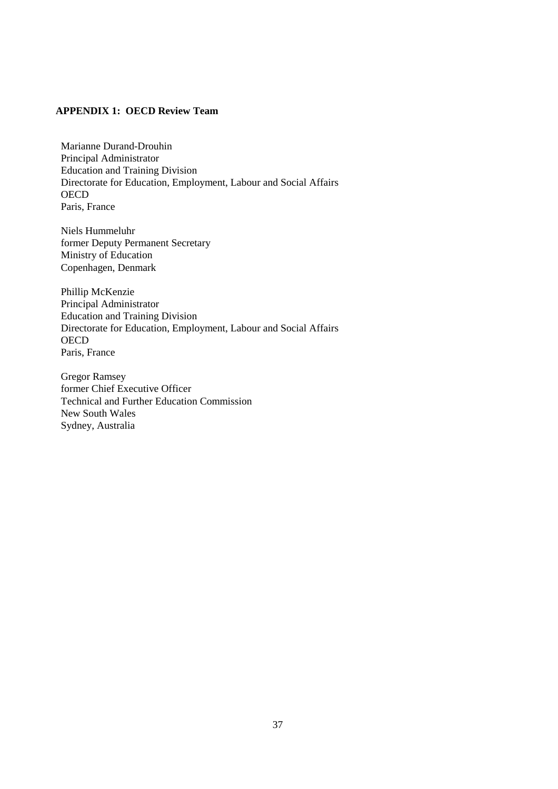# **APPENDIX 1: OECD Review Team**

Marianne Durand-Drouhin Principal Administrator Education and Training Division Directorate for Education, Employment, Labour and Social Affairs **OECD** Paris, France

Niels Hummeluhr former Deputy Permanent Secretary Ministry of Education Copenhagen, Denmark

Phillip McKenzie Principal Administrator Education and Training Division Directorate for Education, Employment, Labour and Social Affairs **OECD** Paris, France

Gregor Ramsey former Chief Executive Officer Technical and Further Education Commission New South Wales Sydney, Australia